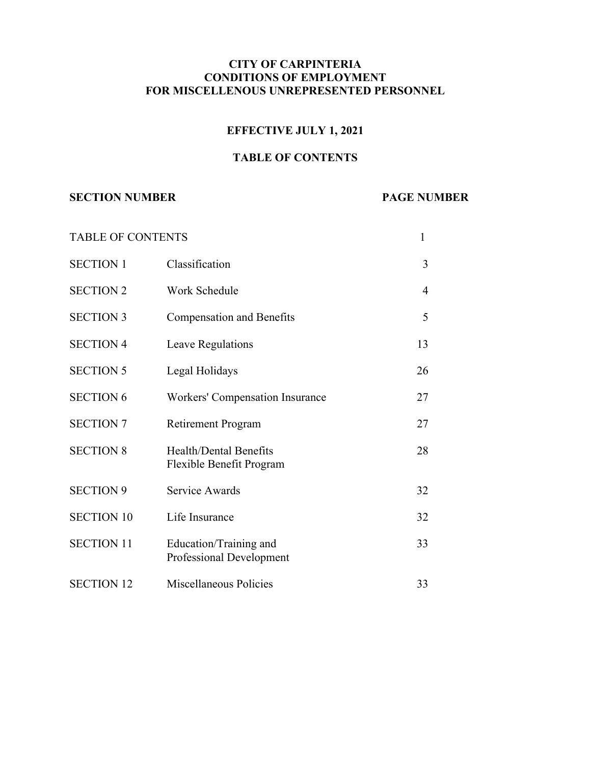### **CITY OF CARPINTERIA CONDITIONS OF EMPLOYMENT FOR MISCELLENOUS UNREPRESENTED PERSONNEL**

## **EFFECTIVE JULY 1, 2021**

# **TABLE OF CONTENTS**

#### **SECTION NUMBER PAGE NUMBER**

| <b>TABLE OF CONTENTS</b> |                                                           | 1              |
|--------------------------|-----------------------------------------------------------|----------------|
| <b>SECTION 1</b>         | Classification                                            | 3              |
| <b>SECTION 2</b>         | Work Schedule                                             | $\overline{4}$ |
| <b>SECTION 3</b>         | <b>Compensation and Benefits</b>                          | 5              |
| <b>SECTION 4</b>         | Leave Regulations                                         | 13             |
| <b>SECTION 5</b>         | Legal Holidays                                            | 26             |
| <b>SECTION 6</b>         | <b>Workers' Compensation Insurance</b>                    | 27             |
| <b>SECTION 7</b>         | <b>Retirement Program</b>                                 | 27             |
| <b>SECTION 8</b>         | <b>Health/Dental Benefits</b><br>Flexible Benefit Program | 28             |
| <b>SECTION 9</b>         | Service Awards                                            | 32             |
| <b>SECTION 10</b>        | Life Insurance                                            | 32             |
| <b>SECTION 11</b>        | Education/Training and<br>Professional Development        | 33             |
| <b>SECTION 12</b>        | Miscellaneous Policies                                    | 33             |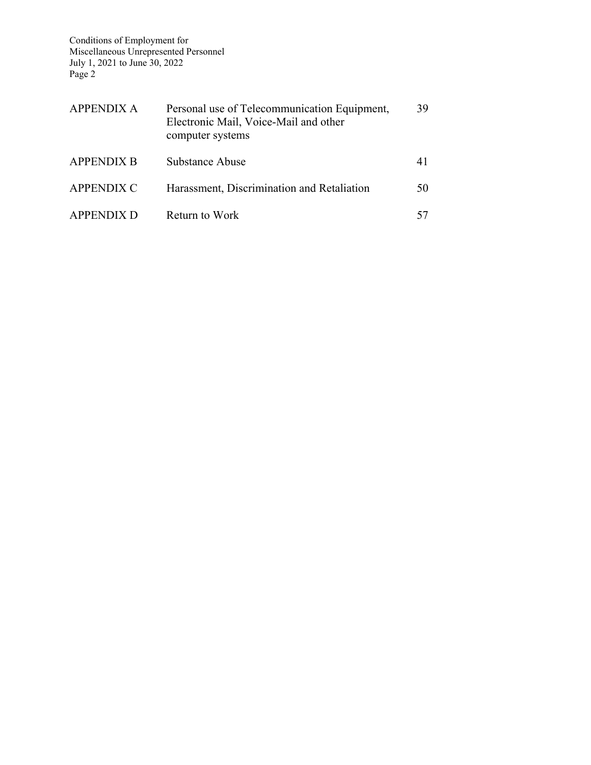| APPENDIX A        | Personal use of Telecommunication Equipment,<br>Electronic Mail, Voice-Mail and other<br>computer systems | 39 |
|-------------------|-----------------------------------------------------------------------------------------------------------|----|
| <b>APPENDIX B</b> | Substance Abuse                                                                                           | 41 |
| <b>APPENDIX C</b> | Harassment, Discrimination and Retaliation                                                                | 50 |
| <b>APPENDIX D</b> | Return to Work                                                                                            |    |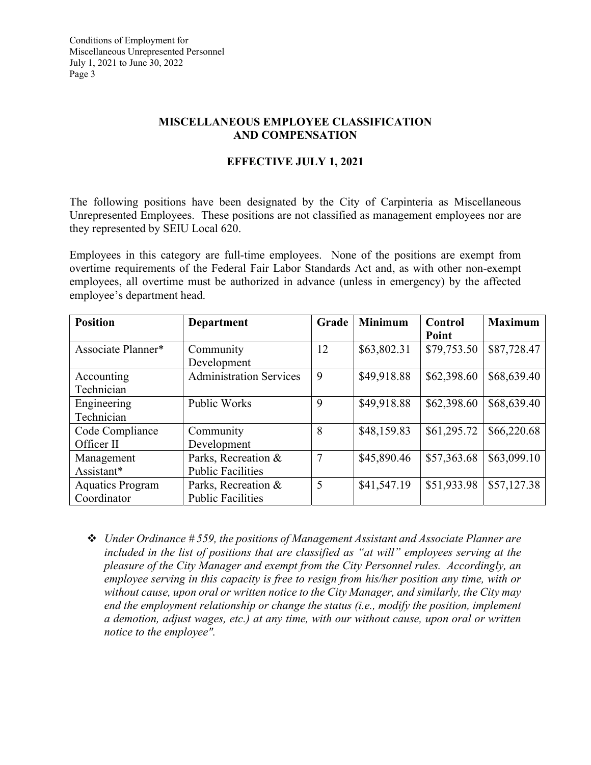## **MISCELLANEOUS EMPLOYEE CLASSIFICATION AND COMPENSATION**

# **EFFECTIVE JULY 1, 2021**

The following positions have been designated by the City of Carpinteria as Miscellaneous Unrepresented Employees. These positions are not classified as management employees nor are they represented by SEIU Local 620.

Employees in this category are full-time employees. None of the positions are exempt from overtime requirements of the Federal Fair Labor Standards Act and, as with other non-exempt employees, all overtime must be authorized in advance (unless in emergency) by the affected employee's department head.

| <b>Position</b>         | Department                     | Grade | <b>Minimum</b> | Control     | <b>Maximum</b> |
|-------------------------|--------------------------------|-------|----------------|-------------|----------------|
|                         |                                |       |                | Point       |                |
| Associate Planner*      | Community                      | 12    | \$63,802.31    | \$79,753.50 | \$87,728.47    |
|                         | Development                    |       |                |             |                |
| Accounting              | <b>Administration Services</b> | 9     | \$49,918.88    | \$62,398.60 | \$68,639.40    |
| Technician              |                                |       |                |             |                |
| Engineering             | <b>Public Works</b>            | 9     | \$49,918.88    | \$62,398.60 | \$68,639.40    |
| Technician              |                                |       |                |             |                |
| Code Compliance         | Community                      | 8     | \$48,159.83    | \$61,295.72 | \$66,220.68    |
| Officer II              | Development                    |       |                |             |                |
| Management              | Parks, Recreation &            | 7     | \$45,890.46    | \$57,363.68 | \$63,099.10    |
| Assistant*              | <b>Public Facilities</b>       |       |                |             |                |
| <b>Aquatics Program</b> | Parks, Recreation &            | 5     | \$41,547.19    | \$51,933.98 | \$57,127.38    |
| Coordinator             | <b>Public Facilities</b>       |       |                |             |                |

 *Under Ordinance # 559, the positions of Management Assistant and Associate Planner are included in the list of positions that are classified as "at will" employees serving at the pleasure of the City Manager and exempt from the City Personnel rules. Accordingly, an employee serving in this capacity is free to resign from his/her position any time, with or without cause, upon oral or written notice to the City Manager, and similarly, the City may end the employment relationship or change the status (i.e., modify the position, implement a demotion, adjust wages, etc.) at any time, with our without cause, upon oral or written notice to the employee".*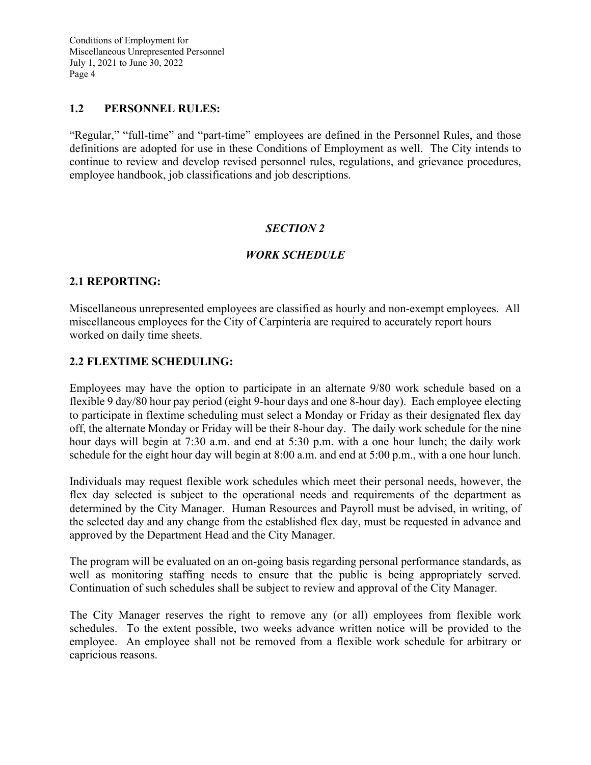#### **1.2 PERSONNEL RULES:**

"Regular," "full-time" and "part-time" employees are defined in the Personnel Rules, and those definitions are adopted for use in these Conditions of Employment as well. The City intends to continue to review and develop revised personnel rules, regulations, and grievance procedures, employee handbook, job classifications and job descriptions.

### *SECTION 2*

### *WORK SCHEDULE*

#### **2.1 REPORTING:**

Miscellaneous unrepresented employees are classified as hourly and non-exempt employees. All miscellaneous employees for the City of Carpinteria are required to accurately report hours worked on daily time sheets.

#### **2.2 FLEXTIME SCHEDULING:**

Employees may have the option to participate in an alternate 9/80 work schedule based on a flexible 9 day/80 hour pay period (eight 9-hour days and one 8-hour day). Each employee electing to participate in flextime scheduling must select a Monday or Friday as their designated flex day off, the alternate Monday or Friday will be their 8-hour day. The daily work schedule for the nine hour days will begin at 7:30 a.m. and end at 5:30 p.m. with a one hour lunch; the daily work schedule for the eight hour day will begin at 8:00 a.m. and end at 5:00 p.m., with a one hour lunch.

Individuals may request flexible work schedules which meet their personal needs, however, the flex day selected is subject to the operational needs and requirements of the department as determined by the City Manager. Human Resources and Payroll must be advised, in writing, of the selected day and any change from the established flex day, must be requested in advance and approved by the Department Head and the City Manager.

The program will be evaluated on an on-going basis regarding personal performance standards, as well as monitoring staffing needs to ensure that the public is being appropriately served. Continuation of such schedules shall be subject to review and approval of the City Manager.

The City Manager reserves the right to remove any (or all) employees from flexible work schedules. To the extent possible, two weeks advance written notice will be provided to the employee. An employee shall not be removed from a flexible work schedule for arbitrary or capricious reasons.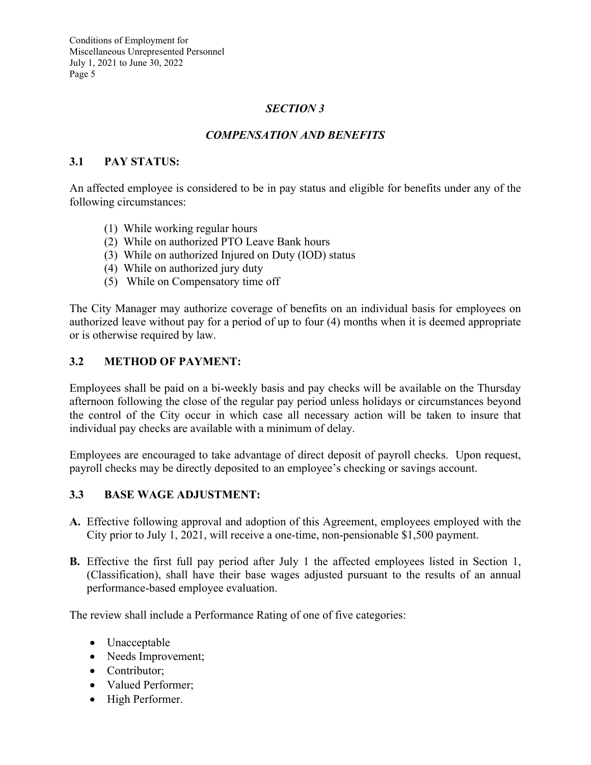# *SECTION 3*

### *COMPENSATION AND BENEFITS*

### **3.1 PAY STATUS:**

An affected employee is considered to be in pay status and eligible for benefits under any of the following circumstances:

- (1) While working regular hours
- (2) While on authorized PTO Leave Bank hours
- (3) While on authorized Injured on Duty (IOD) status
- (4) While on authorized jury duty
- (5) While on Compensatory time off

The City Manager may authorize coverage of benefits on an individual basis for employees on authorized leave without pay for a period of up to four (4) months when it is deemed appropriate or is otherwise required by law.

#### **3.2 METHOD OF PAYMENT:**

Employees shall be paid on a bi-weekly basis and pay checks will be available on the Thursday afternoon following the close of the regular pay period unless holidays or circumstances beyond the control of the City occur in which case all necessary action will be taken to insure that individual pay checks are available with a minimum of delay.

Employees are encouraged to take advantage of direct deposit of payroll checks. Upon request, payroll checks may be directly deposited to an employee's checking or savings account.

#### **3.3 BASE WAGE ADJUSTMENT:**

- **A.** Effective following approval and adoption of this Agreement, employees employed with the City prior to July 1, 2021, will receive a one-time, non-pensionable \$1,500 payment.
- **B.** Effective the first full pay period after July 1 the affected employees listed in Section 1, (Classification), shall have their base wages adjusted pursuant to the results of an annual performance-based employee evaluation.

The review shall include a Performance Rating of one of five categories:

- Unacceptable
- Needs Improvement;
- Contributor:
- Valued Performer;
- High Performer.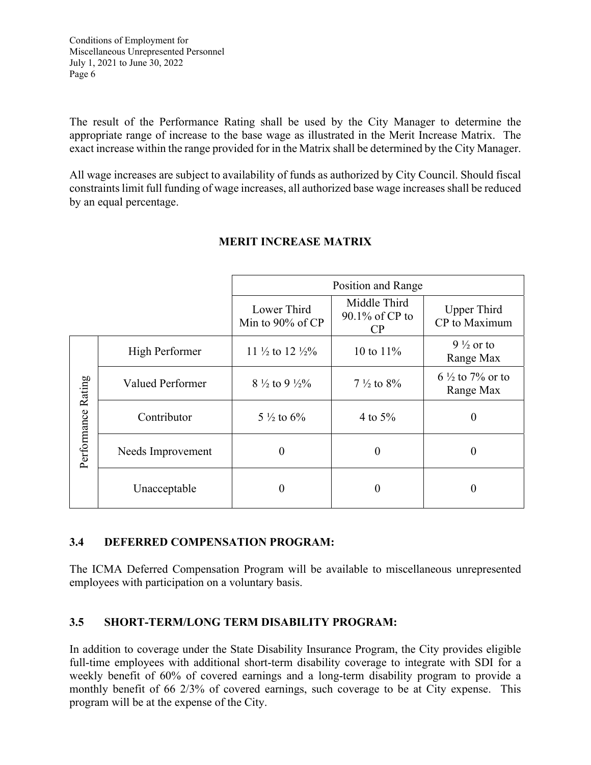The result of the Performance Rating shall be used by the City Manager to determine the appropriate range of increase to the base wage as illustrated in the Merit Increase Matrix. The exact increase within the range provided for in the Matrix shall be determined by the City Manager.

All wage increases are subject to availability of funds as authorized by City Council. Should fiscal constraints limit full funding of wage increases, all authorized base wage increases shall be reduced by an equal percentage.

|                    |                         |                                        | Position and Range                   |                                         |
|--------------------|-------------------------|----------------------------------------|--------------------------------------|-----------------------------------------|
|                    |                         | Lower Third<br>Min to $90\%$ of CP     | Middle Third<br>90.1% of CP to<br>CP | <b>Upper Third</b><br>CP to Maximum     |
| Performance Rating | High Performer          | 11 $\frac{1}{2}$ to 12 $\frac{1}{2}\%$ | 10 to $11\%$                         | $9\frac{1}{2}$ or to<br>Range Max       |
|                    | <b>Valued Performer</b> | 8 $\frac{1}{2}$ to 9 $\frac{1}{2}\%$   | $7\frac{1}{2}$ to $8\%$              | $6\frac{1}{2}$ to 7% or to<br>Range Max |
|                    | Contributor             | $5\frac{1}{2}$ to $6\%$                | 4 to $5\%$                           | $\boldsymbol{0}$                        |
|                    | Needs Improvement       |                                        | 0                                    |                                         |
|                    | Unacceptable            |                                        | 0                                    |                                         |

# **MERIT INCREASE MATRIX**

# **3.4 DEFERRED COMPENSATION PROGRAM:**

The ICMA Deferred Compensation Program will be available to miscellaneous unrepresented employees with participation on a voluntary basis.

# **3.5 SHORT-TERM/LONG TERM DISABILITY PROGRAM:**

In addition to coverage under the State Disability Insurance Program, the City provides eligible full-time employees with additional short-term disability coverage to integrate with SDI for a weekly benefit of 60% of covered earnings and a long-term disability program to provide a monthly benefit of 66 2/3% of covered earnings, such coverage to be at City expense. This program will be at the expense of the City.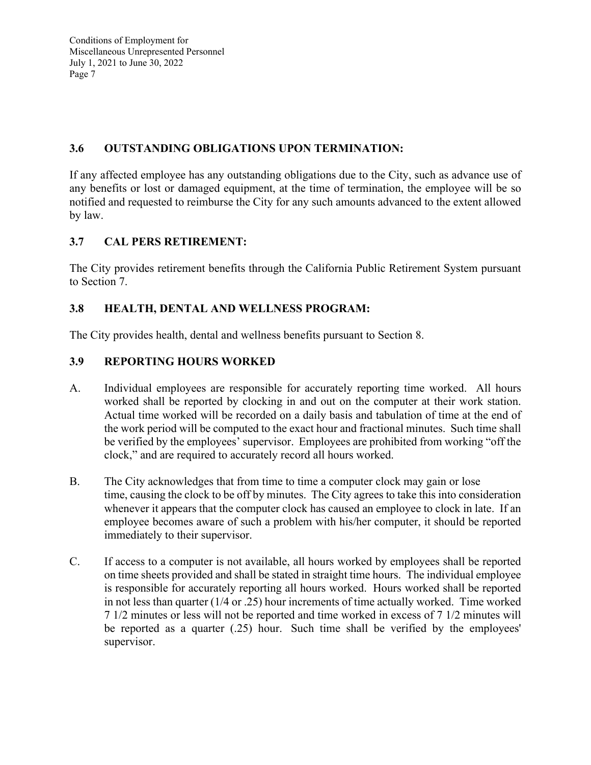# **3.6 OUTSTANDING OBLIGATIONS UPON TERMINATION:**

If any affected employee has any outstanding obligations due to the City, such as advance use of any benefits or lost or damaged equipment, at the time of termination, the employee will be so notified and requested to reimburse the City for any such amounts advanced to the extent allowed by law.

# **3.7 CAL PERS RETIREMENT:**

The City provides retirement benefits through the California Public Retirement System pursuant to Section 7.

# **3.8 HEALTH, DENTAL AND WELLNESS PROGRAM:**

The City provides health, dental and wellness benefits pursuant to Section 8.

# **3.9 REPORTING HOURS WORKED**

- A. Individual employees are responsible for accurately reporting time worked. All hours worked shall be reported by clocking in and out on the computer at their work station. Actual time worked will be recorded on a daily basis and tabulation of time at the end of the work period will be computed to the exact hour and fractional minutes. Such time shall be verified by the employees' supervisor. Employees are prohibited from working "off the clock," and are required to accurately record all hours worked.
- B. The City acknowledges that from time to time a computer clock may gain or lose time, causing the clock to be off by minutes. The City agrees to take this into consideration whenever it appears that the computer clock has caused an employee to clock in late. If an employee becomes aware of such a problem with his/her computer, it should be reported immediately to their supervisor.
- C. If access to a computer is not available, all hours worked by employees shall be reported on time sheets provided and shall be stated in straight time hours. The individual employee is responsible for accurately reporting all hours worked. Hours worked shall be reported in not less than quarter (1/4 or .25) hour increments of time actually worked. Time worked 7 1/2 minutes or less will not be reported and time worked in excess of 7 1/2 minutes will be reported as a quarter (.25) hour. Such time shall be verified by the employees' supervisor.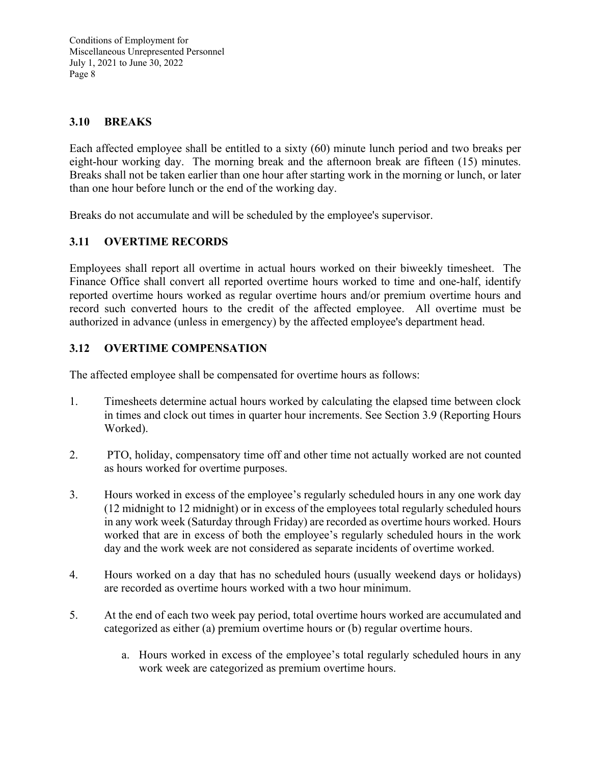# **3.10 BREAKS**

Each affected employee shall be entitled to a sixty (60) minute lunch period and two breaks per eight-hour working day. The morning break and the afternoon break are fifteen (15) minutes. Breaks shall not be taken earlier than one hour after starting work in the morning or lunch, or later than one hour before lunch or the end of the working day.

Breaks do not accumulate and will be scheduled by the employee's supervisor.

# **3.11 OVERTIME RECORDS**

Employees shall report all overtime in actual hours worked on their biweekly timesheet. The Finance Office shall convert all reported overtime hours worked to time and one-half, identify reported overtime hours worked as regular overtime hours and/or premium overtime hours and record such converted hours to the credit of the affected employee. All overtime must be authorized in advance (unless in emergency) by the affected employee's department head.

# **3.12 OVERTIME COMPENSATION**

The affected employee shall be compensated for overtime hours as follows:

- 1. Timesheets determine actual hours worked by calculating the elapsed time between clock in times and clock out times in quarter hour increments. See Section 3.9 (Reporting Hours Worked).
- 2. PTO, holiday, compensatory time off and other time not actually worked are not counted as hours worked for overtime purposes.
- 3. Hours worked in excess of the employee's regularly scheduled hours in any one work day (12 midnight to 12 midnight) or in excess of the employees total regularly scheduled hours in any work week (Saturday through Friday) are recorded as overtime hours worked. Hours worked that are in excess of both the employee's regularly scheduled hours in the work day and the work week are not considered as separate incidents of overtime worked.
- 4. Hours worked on a day that has no scheduled hours (usually weekend days or holidays) are recorded as overtime hours worked with a two hour minimum.
- 5. At the end of each two week pay period, total overtime hours worked are accumulated and categorized as either (a) premium overtime hours or (b) regular overtime hours.
	- a. Hours worked in excess of the employee's total regularly scheduled hours in any work week are categorized as premium overtime hours.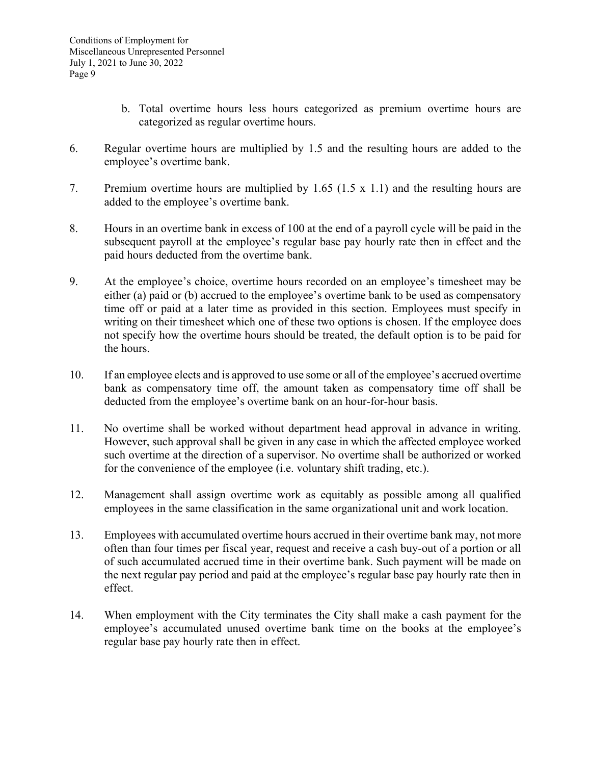- b. Total overtime hours less hours categorized as premium overtime hours are categorized as regular overtime hours.
- 6. Regular overtime hours are multiplied by 1.5 and the resulting hours are added to the employee's overtime bank.
- 7. Premium overtime hours are multiplied by 1.65 (1.5 x 1.1) and the resulting hours are added to the employee's overtime bank.
- 8. Hours in an overtime bank in excess of 100 at the end of a payroll cycle will be paid in the subsequent payroll at the employee's regular base pay hourly rate then in effect and the paid hours deducted from the overtime bank.
- 9. At the employee's choice, overtime hours recorded on an employee's timesheet may be either (a) paid or (b) accrued to the employee's overtime bank to be used as compensatory time off or paid at a later time as provided in this section. Employees must specify in writing on their timesheet which one of these two options is chosen. If the employee does not specify how the overtime hours should be treated, the default option is to be paid for the hours.
- 10. If an employee elects and is approved to use some or all of the employee's accrued overtime bank as compensatory time off, the amount taken as compensatory time off shall be deducted from the employee's overtime bank on an hour-for-hour basis.
- 11. No overtime shall be worked without department head approval in advance in writing. However, such approval shall be given in any case in which the affected employee worked such overtime at the direction of a supervisor. No overtime shall be authorized or worked for the convenience of the employee (i.e. voluntary shift trading, etc.).
- 12. Management shall assign overtime work as equitably as possible among all qualified employees in the same classification in the same organizational unit and work location.
- 13. Employees with accumulated overtime hours accrued in their overtime bank may, not more often than four times per fiscal year, request and receive a cash buy-out of a portion or all of such accumulated accrued time in their overtime bank. Such payment will be made on the next regular pay period and paid at the employee's regular base pay hourly rate then in effect.
- 14. When employment with the City terminates the City shall make a cash payment for the employee's accumulated unused overtime bank time on the books at the employee's regular base pay hourly rate then in effect.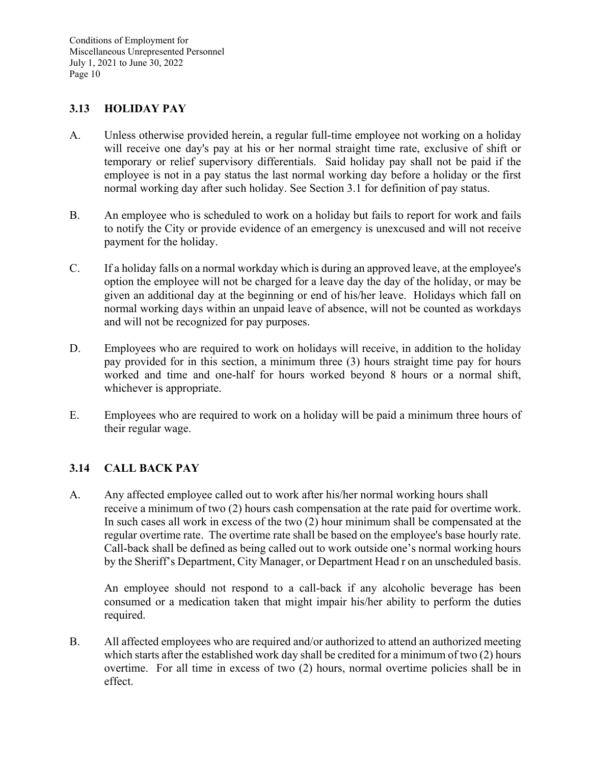### **3.13 HOLIDAY PAY**

- A. Unless otherwise provided herein, a regular full-time employee not working on a holiday will receive one day's pay at his or her normal straight time rate, exclusive of shift or temporary or relief supervisory differentials. Said holiday pay shall not be paid if the employee is not in a pay status the last normal working day before a holiday or the first normal working day after such holiday. See Section 3.1 for definition of pay status.
- B. An employee who is scheduled to work on a holiday but fails to report for work and fails to notify the City or provide evidence of an emergency is unexcused and will not receive payment for the holiday.
- C. If a holiday falls on a normal workday which is during an approved leave, at the employee's option the employee will not be charged for a leave day the day of the holiday, or may be given an additional day at the beginning or end of his/her leave. Holidays which fall on normal working days within an unpaid leave of absence, will not be counted as workdays and will not be recognized for pay purposes.
- D. Employees who are required to work on holidays will receive, in addition to the holiday pay provided for in this section, a minimum three (3) hours straight time pay for hours worked and time and one-half for hours worked beyond 8 hours or a normal shift, whichever is appropriate.
- E. Employees who are required to work on a holiday will be paid a minimum three hours of their regular wage.

### **3.14 CALL BACK PAY**

A. Any affected employee called out to work after his/her normal working hours shall receive a minimum of two (2) hours cash compensation at the rate paid for overtime work. In such cases all work in excess of the two (2) hour minimum shall be compensated at the regular overtime rate. The overtime rate shall be based on the employee's base hourly rate. Call-back shall be defined as being called out to work outside one's normal working hours by the Sheriff's Department, City Manager, or Department Head r on an unscheduled basis.

An employee should not respond to a call-back if any alcoholic beverage has been consumed or a medication taken that might impair his/her ability to perform the duties required.

B. All affected employees who are required and/or authorized to attend an authorized meeting which starts after the established work day shall be credited for a minimum of two (2) hours overtime. For all time in excess of two (2) hours, normal overtime policies shall be in effect.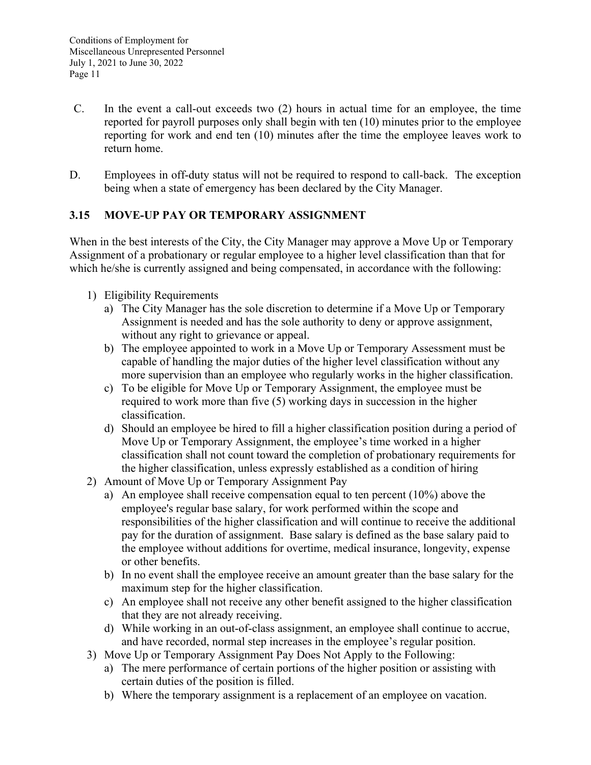- C. In the event a call-out exceeds two (2) hours in actual time for an employee, the time reported for payroll purposes only shall begin with ten (10) minutes prior to the employee reporting for work and end ten (10) minutes after the time the employee leaves work to return home.
- D. Employees in off-duty status will not be required to respond to call-back. The exception being when a state of emergency has been declared by the City Manager.

# **3.15 MOVE-UP PAY OR TEMPORARY ASSIGNMENT**

When in the best interests of the City, the City Manager may approve a Move Up or Temporary Assignment of a probationary or regular employee to a higher level classification than that for which he/she is currently assigned and being compensated, in accordance with the following:

- 1) Eligibility Requirements
	- a) The City Manager has the sole discretion to determine if a Move Up or Temporary Assignment is needed and has the sole authority to deny or approve assignment, without any right to grievance or appeal.
	- b) The employee appointed to work in a Move Up or Temporary Assessment must be capable of handling the major duties of the higher level classification without any more supervision than an employee who regularly works in the higher classification.
	- c) To be eligible for Move Up or Temporary Assignment, the employee must be required to work more than five (5) working days in succession in the higher classification.
	- d) Should an employee be hired to fill a higher classification position during a period of Move Up or Temporary Assignment, the employee's time worked in a higher classification shall not count toward the completion of probationary requirements for the higher classification, unless expressly established as a condition of hiring
- 2) Amount of Move Up or Temporary Assignment Pay
	- a) An employee shall receive compensation equal to ten percent (10%) above the employee's regular base salary, for work performed within the scope and responsibilities of the higher classification and will continue to receive the additional pay for the duration of assignment. Base salary is defined as the base salary paid to the employee without additions for overtime, medical insurance, longevity, expense or other benefits.
	- b) In no event shall the employee receive an amount greater than the base salary for the maximum step for the higher classification.
	- c) An employee shall not receive any other benefit assigned to the higher classification that they are not already receiving.
	- d) While working in an out-of-class assignment, an employee shall continue to accrue, and have recorded, normal step increases in the employee's regular position.
- 3) Move Up or Temporary Assignment Pay Does Not Apply to the Following:
	- a) The mere performance of certain portions of the higher position or assisting with certain duties of the position is filled.
	- b) Where the temporary assignment is a replacement of an employee on vacation.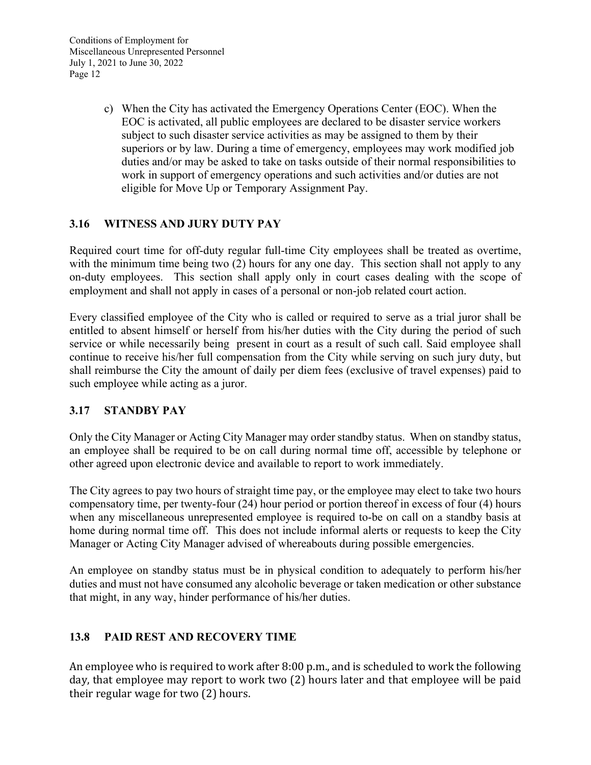c) When the City has activated the Emergency Operations Center (EOC). When the EOC is activated, all public employees are declared to be disaster service workers subject to such disaster service activities as may be assigned to them by their superiors or by law. During a time of emergency, employees may work modified job duties and/or may be asked to take on tasks outside of their normal responsibilities to work in support of emergency operations and such activities and/or duties are not eligible for Move Up or Temporary Assignment Pay.

# **3.16 WITNESS AND JURY DUTY PAY**

Required court time for off-duty regular full-time City employees shall be treated as overtime, with the minimum time being two (2) hours for any one day. This section shall not apply to any on-duty employees. This section shall apply only in court cases dealing with the scope of employment and shall not apply in cases of a personal or non-job related court action.

Every classified employee of the City who is called or required to serve as a trial juror shall be entitled to absent himself or herself from his/her duties with the City during the period of such service or while necessarily being present in court as a result of such call. Said employee shall continue to receive his/her full compensation from the City while serving on such jury duty, but shall reimburse the City the amount of daily per diem fees (exclusive of travel expenses) paid to such employee while acting as a juror.

# **3.17 STANDBY PAY**

Only the City Manager or Acting City Manager may order standby status. When on standby status, an employee shall be required to be on call during normal time off, accessible by telephone or other agreed upon electronic device and available to report to work immediately.

The City agrees to pay two hours of straight time pay, or the employee may elect to take two hours compensatory time, per twenty-four (24) hour period or portion thereof in excess of four (4) hours when any miscellaneous unrepresented employee is required to-be on call on a standby basis at home during normal time off. This does not include informal alerts or requests to keep the City Manager or Acting City Manager advised of whereabouts during possible emergencies.

An employee on standby status must be in physical condition to adequately to perform his/her duties and must not have consumed any alcoholic beverage or taken medication or other substance that might, in any way, hinder performance of his/her duties.

# **13.8 PAID REST AND RECOVERY TIME**

An employee who is required to work after 8:00 p.m., and is scheduled to work the following day, that employee may report to work two (2) hours later and that employee will be paid their regular wage for two (2) hours.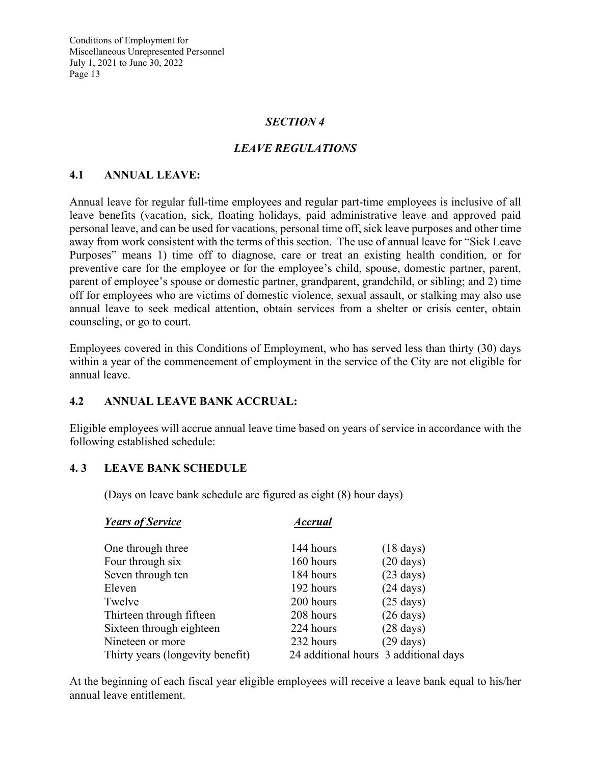### *SECTION 4*

# *LEAVE REGULATIONS*

#### **4.1 ANNUAL LEAVE:**

Annual leave for regular full-time employees and regular part-time employees is inclusive of all leave benefits (vacation, sick, floating holidays, paid administrative leave and approved paid personal leave, and can be used for vacations, personal time off, sick leave purposes and other time away from work consistent with the terms of this section. The use of annual leave for "Sick Leave Purposes" means 1) time off to diagnose, care or treat an existing health condition, or for preventive care for the employee or for the employee's child, spouse, domestic partner, parent, parent of employee's spouse or domestic partner, grandparent, grandchild, or sibling; and 2) time off for employees who are victims of domestic violence, sexual assault, or stalking may also use annual leave to seek medical attention, obtain services from a shelter or crisis center, obtain counseling, or go to court.

Employees covered in this Conditions of Employment, who has served less than thirty (30) days within a year of the commencement of employment in the service of the City are not eligible for annual leave.

#### **4.2 ANNUAL LEAVE BANK ACCRUAL:**

Eligible employees will accrue annual leave time based on years of service in accordance with the following established schedule:

#### **4. 3 LEAVE BANK SCHEDULE**

(Days on leave bank schedule are figured as eight (8) hour days)

| <b>Years of Service</b>          | <b>Accrual</b>                        |                     |
|----------------------------------|---------------------------------------|---------------------|
| One through three                | 144 hours                             | $(18 \text{ days})$ |
| Four through six                 | 160 hours                             | $(20 \text{ days})$ |
| Seven through ten                | 184 hours                             | $(23 \text{ days})$ |
| Eleven                           | 192 hours                             | $(24 \text{ days})$ |
| Twelve                           | 200 hours                             | $(25 \text{ days})$ |
| Thirteen through fifteen         | 208 hours                             | $(26 \text{ days})$ |
| Sixteen through eighteen         | 224 hours                             | $(28 \text{ days})$ |
| Nineteen or more                 | 232 hours                             | $(29 \text{ days})$ |
| Thirty years (longevity benefit) | 24 additional hours 3 additional days |                     |

At the beginning of each fiscal year eligible employees will receive a leave bank equal to his/her annual leave entitlement.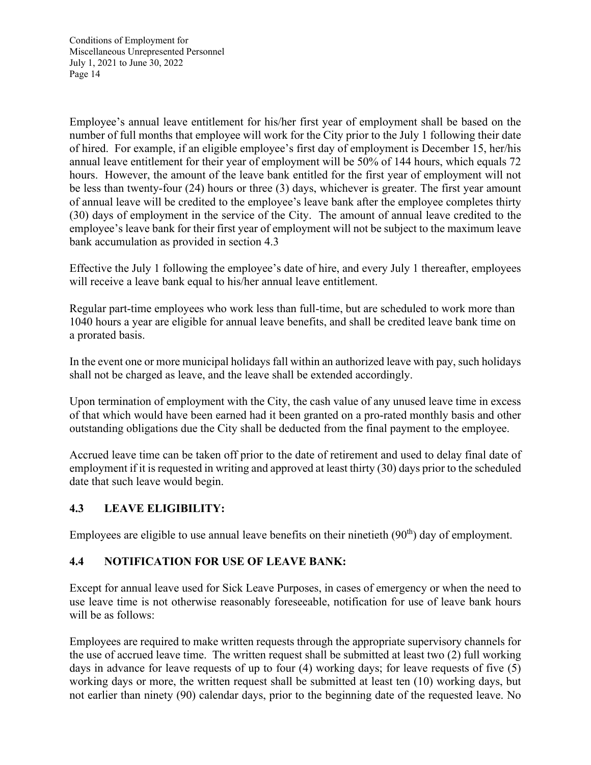Employee's annual leave entitlement for his/her first year of employment shall be based on the number of full months that employee will work for the City prior to the July 1 following their date of hired. For example, if an eligible employee's first day of employment is December 15, her/his annual leave entitlement for their year of employment will be 50% of 144 hours, which equals 72 hours. However, the amount of the leave bank entitled for the first year of employment will not be less than twenty-four (24) hours or three (3) days, whichever is greater. The first year amount of annual leave will be credited to the employee's leave bank after the employee completes thirty (30) days of employment in the service of the City. The amount of annual leave credited to the employee's leave bank for their first year of employment will not be subject to the maximum leave bank accumulation as provided in section 4.3

Effective the July 1 following the employee's date of hire, and every July 1 thereafter, employees will receive a leave bank equal to his/her annual leave entitlement.

Regular part-time employees who work less than full-time, but are scheduled to work more than 1040 hours a year are eligible for annual leave benefits, and shall be credited leave bank time on a prorated basis.

In the event one or more municipal holidays fall within an authorized leave with pay, such holidays shall not be charged as leave, and the leave shall be extended accordingly.

Upon termination of employment with the City, the cash value of any unused leave time in excess of that which would have been earned had it been granted on a pro-rated monthly basis and other outstanding obligations due the City shall be deducted from the final payment to the employee.

Accrued leave time can be taken off prior to the date of retirement and used to delay final date of employment if it is requested in writing and approved at least thirty (30) days prior to the scheduled date that such leave would begin.

# **4.3 LEAVE ELIGIBILITY:**

Employees are eligible to use annual leave benefits on their ninetieth  $(90<sup>th</sup>)$  day of employment.

### **4.4 NOTIFICATION FOR USE OF LEAVE BANK:**

Except for annual leave used for Sick Leave Purposes, in cases of emergency or when the need to use leave time is not otherwise reasonably foreseeable, notification for use of leave bank hours will be as follows:

Employees are required to make written requests through the appropriate supervisory channels for the use of accrued leave time. The written request shall be submitted at least two (2) full working days in advance for leave requests of up to four (4) working days; for leave requests of five (5) working days or more, the written request shall be submitted at least ten (10) working days, but not earlier than ninety (90) calendar days, prior to the beginning date of the requested leave. No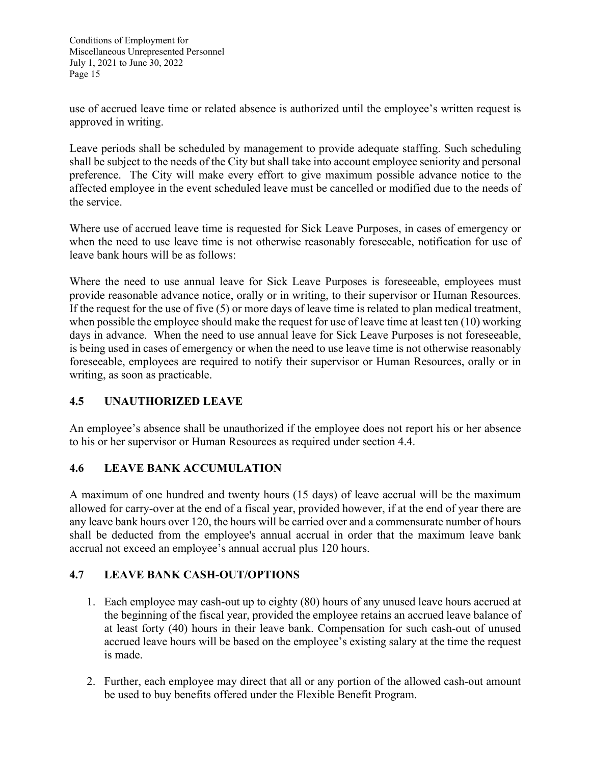use of accrued leave time or related absence is authorized until the employee's written request is approved in writing.

Leave periods shall be scheduled by management to provide adequate staffing. Such scheduling shall be subject to the needs of the City but shall take into account employee seniority and personal preference. The City will make every effort to give maximum possible advance notice to the affected employee in the event scheduled leave must be cancelled or modified due to the needs of the service.

Where use of accrued leave time is requested for Sick Leave Purposes, in cases of emergency or when the need to use leave time is not otherwise reasonably foreseeable, notification for use of leave bank hours will be as follows:

Where the need to use annual leave for Sick Leave Purposes is foreseeable, employees must provide reasonable advance notice, orally or in writing, to their supervisor or Human Resources. If the request for the use of five (5) or more days of leave time is related to plan medical treatment, when possible the employee should make the request for use of leave time at least ten (10) working days in advance. When the need to use annual leave for Sick Leave Purposes is not foreseeable, is being used in cases of emergency or when the need to use leave time is not otherwise reasonably foreseeable, employees are required to notify their supervisor or Human Resources, orally or in writing, as soon as practicable.

# **4.5 UNAUTHORIZED LEAVE**

An employee's absence shall be unauthorized if the employee does not report his or her absence to his or her supervisor or Human Resources as required under section 4.4.

### **4.6 LEAVE BANK ACCUMULATION**

A maximum of one hundred and twenty hours (15 days) of leave accrual will be the maximum allowed for carry-over at the end of a fiscal year, provided however, if at the end of year there are any leave bank hours over 120, the hours will be carried over and a commensurate number of hours shall be deducted from the employee's annual accrual in order that the maximum leave bank accrual not exceed an employee's annual accrual plus 120 hours.

# **4.7 LEAVE BANK CASH-OUT/OPTIONS**

- 1. Each employee may cash-out up to eighty (80) hours of any unused leave hours accrued at the beginning of the fiscal year, provided the employee retains an accrued leave balance of at least forty (40) hours in their leave bank. Compensation for such cash-out of unused accrued leave hours will be based on the employee's existing salary at the time the request is made.
- 2. Further, each employee may direct that all or any portion of the allowed cash-out amount be used to buy benefits offered under the Flexible Benefit Program.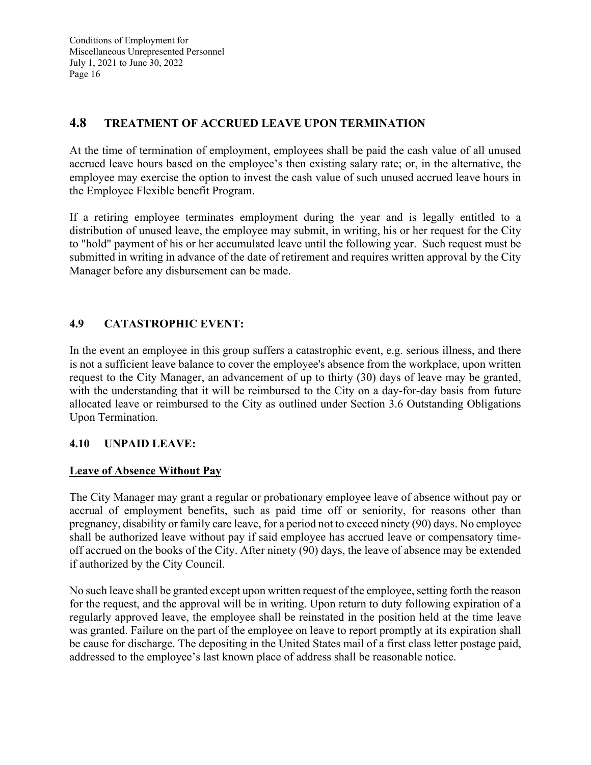# **4.8 TREATMENT OF ACCRUED LEAVE UPON TERMINATION**

At the time of termination of employment, employees shall be paid the cash value of all unused accrued leave hours based on the employee's then existing salary rate; or, in the alternative, the employee may exercise the option to invest the cash value of such unused accrued leave hours in the Employee Flexible benefit Program.

If a retiring employee terminates employment during the year and is legally entitled to a distribution of unused leave, the employee may submit, in writing, his or her request for the City to "hold" payment of his or her accumulated leave until the following year. Such request must be submitted in writing in advance of the date of retirement and requires written approval by the City Manager before any disbursement can be made.

# **4.9 CATASTROPHIC EVENT:**

In the event an employee in this group suffers a catastrophic event, e.g. serious illness, and there is not a sufficient leave balance to cover the employee's absence from the workplace, upon written request to the City Manager, an advancement of up to thirty (30) days of leave may be granted, with the understanding that it will be reimbursed to the City on a day-for-day basis from future allocated leave or reimbursed to the City as outlined under Section 3.6 Outstanding Obligations Upon Termination.

### **4.10 UNPAID LEAVE:**

### **Leave of Absence Without Pay**

The City Manager may grant a regular or probationary employee leave of absence without pay or accrual of employment benefits, such as paid time off or seniority, for reasons other than pregnancy, disability or family care leave, for a period not to exceed ninety (90) days. No employee shall be authorized leave without pay if said employee has accrued leave or compensatory timeoff accrued on the books of the City. After ninety (90) days, the leave of absence may be extended if authorized by the City Council.

No such leave shall be granted except upon written request of the employee, setting forth the reason for the request, and the approval will be in writing. Upon return to duty following expiration of a regularly approved leave, the employee shall be reinstated in the position held at the time leave was granted. Failure on the part of the employee on leave to report promptly at its expiration shall be cause for discharge. The depositing in the United States mail of a first class letter postage paid, addressed to the employee's last known place of address shall be reasonable notice.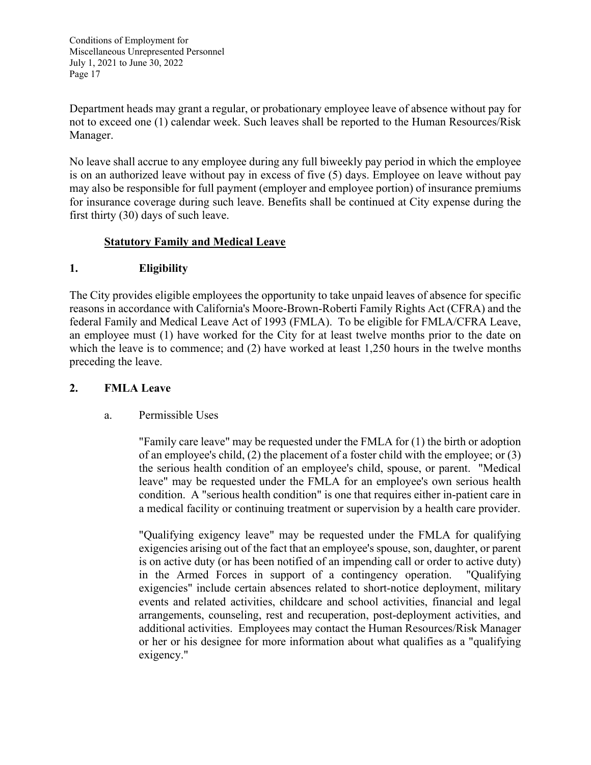Department heads may grant a regular, or probationary employee leave of absence without pay for not to exceed one (1) calendar week. Such leaves shall be reported to the Human Resources/Risk Manager.

No leave shall accrue to any employee during any full biweekly pay period in which the employee is on an authorized leave without pay in excess of five (5) days. Employee on leave without pay may also be responsible for full payment (employer and employee portion) of insurance premiums for insurance coverage during such leave. Benefits shall be continued at City expense during the first thirty (30) days of such leave.

### **Statutory Family and Medical Leave**

# **1. Eligibility**

The City provides eligible employees the opportunity to take unpaid leaves of absence for specific reasons in accordance with California's Moore-Brown-Roberti Family Rights Act (CFRA) and the federal Family and Medical Leave Act of 1993 (FMLA). To be eligible for FMLA/CFRA Leave, an employee must (1) have worked for the City for at least twelve months prior to the date on which the leave is to commence; and (2) have worked at least 1,250 hours in the twelve months preceding the leave.

### **2. FMLA Leave**

### a. Permissible Uses

 "Family care leave" may be requested under the FMLA for (1) the birth or adoption of an employee's child, (2) the placement of a foster child with the employee; or (3) the serious health condition of an employee's child, spouse, or parent. "Medical leave" may be requested under the FMLA for an employee's own serious health condition. A "serious health condition" is one that requires either in-patient care in a medical facility or continuing treatment or supervision by a health care provider.

"Qualifying exigency leave" may be requested under the FMLA for qualifying exigencies arising out of the fact that an employee's spouse, son, daughter, or parent is on active duty (or has been notified of an impending call or order to active duty) in the Armed Forces in support of a contingency operation. "Qualifying exigencies" include certain absences related to short-notice deployment, military events and related activities, childcare and school activities, financial and legal arrangements, counseling, rest and recuperation, post-deployment activities, and additional activities. Employees may contact the Human Resources/Risk Manager or her or his designee for more information about what qualifies as a "qualifying exigency."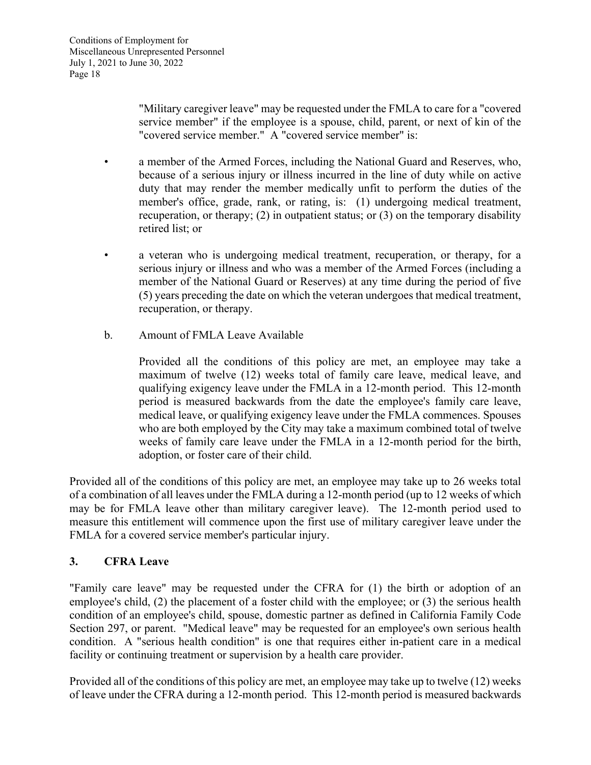"Military caregiver leave" may be requested under the FMLA to care for a "covered service member" if the employee is a spouse, child, parent, or next of kin of the "covered service member." A "covered service member" is:

- a member of the Armed Forces, including the National Guard and Reserves, who, because of a serious injury or illness incurred in the line of duty while on active duty that may render the member medically unfit to perform the duties of the member's office, grade, rank, or rating, is: (1) undergoing medical treatment, recuperation, or therapy; (2) in outpatient status; or (3) on the temporary disability retired list; or
- a veteran who is undergoing medical treatment, recuperation, or therapy, for a serious injury or illness and who was a member of the Armed Forces (including a member of the National Guard or Reserves) at any time during the period of five (5) years preceding the date on which the veteran undergoes that medical treatment, recuperation, or therapy.
- b. Amount of FMLA Leave Available

Provided all the conditions of this policy are met, an employee may take a maximum of twelve (12) weeks total of family care leave, medical leave, and qualifying exigency leave under the FMLA in a 12-month period. This 12-month period is measured backwards from the date the employee's family care leave, medical leave, or qualifying exigency leave under the FMLA commences. Spouses who are both employed by the City may take a maximum combined total of twelve weeks of family care leave under the FMLA in a 12-month period for the birth, adoption, or foster care of their child.

Provided all of the conditions of this policy are met, an employee may take up to 26 weeks total of a combination of all leaves under the FMLA during a 12-month period (up to 12 weeks of which may be for FMLA leave other than military caregiver leave). The 12-month period used to measure this entitlement will commence upon the first use of military caregiver leave under the FMLA for a covered service member's particular injury.

### **3. CFRA Leave**

"Family care leave" may be requested under the CFRA for (1) the birth or adoption of an employee's child, (2) the placement of a foster child with the employee; or (3) the serious health condition of an employee's child, spouse, domestic partner as defined in California Family Code Section 297, or parent. "Medical leave" may be requested for an employee's own serious health condition. A "serious health condition" is one that requires either in-patient care in a medical facility or continuing treatment or supervision by a health care provider.

Provided all of the conditions of this policy are met, an employee may take up to twelve (12) weeks of leave under the CFRA during a 12-month period. This 12-month period is measured backwards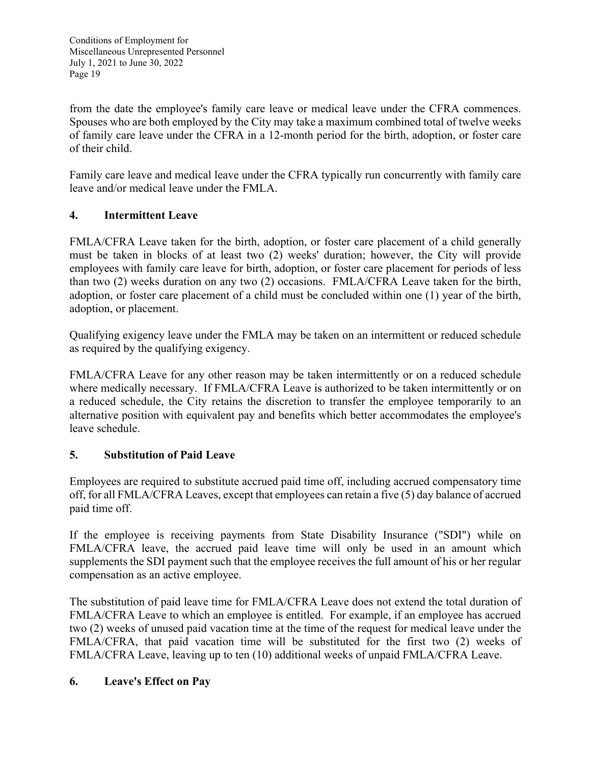from the date the employee's family care leave or medical leave under the CFRA commences. Spouses who are both employed by the City may take a maximum combined total of twelve weeks of family care leave under the CFRA in a 12-month period for the birth, adoption, or foster care of their child.

Family care leave and medical leave under the CFRA typically run concurrently with family care leave and/or medical leave under the FMLA.

# **4. Intermittent Leave**

FMLA/CFRA Leave taken for the birth, adoption, or foster care placement of a child generally must be taken in blocks of at least two (2) weeks' duration; however, the City will provide employees with family care leave for birth, adoption, or foster care placement for periods of less than two (2) weeks duration on any two (2) occasions. FMLA/CFRA Leave taken for the birth, adoption, or foster care placement of a child must be concluded within one (1) year of the birth, adoption, or placement.

Qualifying exigency leave under the FMLA may be taken on an intermittent or reduced schedule as required by the qualifying exigency.

FMLA/CFRA Leave for any other reason may be taken intermittently or on a reduced schedule where medically necessary. If FMLA/CFRA Leave is authorized to be taken intermittently or on a reduced schedule, the City retains the discretion to transfer the employee temporarily to an alternative position with equivalent pay and benefits which better accommodates the employee's leave schedule.

### **5. Substitution of Paid Leave**

Employees are required to substitute accrued paid time off, including accrued compensatory time off, for all FMLA/CFRA Leaves, except that employees can retain a five (5) day balance of accrued paid time off.

If the employee is receiving payments from State Disability Insurance ("SDI") while on FMLA/CFRA leave, the accrued paid leave time will only be used in an amount which supplements the SDI payment such that the employee receives the full amount of his or her regular compensation as an active employee.

The substitution of paid leave time for FMLA/CFRA Leave does not extend the total duration of FMLA/CFRA Leave to which an employee is entitled. For example, if an employee has accrued two (2) weeks of unused paid vacation time at the time of the request for medical leave under the FMLA/CFRA, that paid vacation time will be substituted for the first two (2) weeks of FMLA/CFRA Leave, leaving up to ten (10) additional weeks of unpaid FMLA/CFRA Leave.

### **6. Leave's Effect on Pay**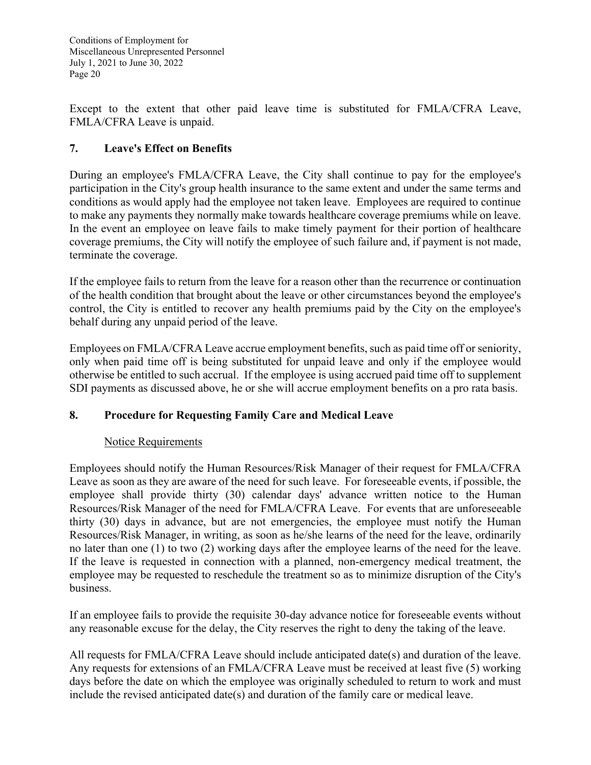Except to the extent that other paid leave time is substituted for FMLA/CFRA Leave, FMLA/CFRA Leave is unpaid.

# **7. Leave's Effect on Benefits**

During an employee's FMLA/CFRA Leave, the City shall continue to pay for the employee's participation in the City's group health insurance to the same extent and under the same terms and conditions as would apply had the employee not taken leave. Employees are required to continue to make any payments they normally make towards healthcare coverage premiums while on leave. In the event an employee on leave fails to make timely payment for their portion of healthcare coverage premiums, the City will notify the employee of such failure and, if payment is not made, terminate the coverage.

If the employee fails to return from the leave for a reason other than the recurrence or continuation of the health condition that brought about the leave or other circumstances beyond the employee's control, the City is entitled to recover any health premiums paid by the City on the employee's behalf during any unpaid period of the leave.

Employees on FMLA/CFRA Leave accrue employment benefits, such as paid time off or seniority, only when paid time off is being substituted for unpaid leave and only if the employee would otherwise be entitled to such accrual. If the employee is using accrued paid time off to supplement SDI payments as discussed above, he or she will accrue employment benefits on a pro rata basis.

### **8. Procedure for Requesting Family Care and Medical Leave**

### Notice Requirements

Employees should notify the Human Resources/Risk Manager of their request for FMLA/CFRA Leave as soon as they are aware of the need for such leave. For foreseeable events, if possible, the employee shall provide thirty (30) calendar days' advance written notice to the Human Resources/Risk Manager of the need for FMLA/CFRA Leave. For events that are unforeseeable thirty (30) days in advance, but are not emergencies, the employee must notify the Human Resources/Risk Manager, in writing, as soon as he/she learns of the need for the leave, ordinarily no later than one (1) to two (2) working days after the employee learns of the need for the leave. If the leave is requested in connection with a planned, non-emergency medical treatment, the employee may be requested to reschedule the treatment so as to minimize disruption of the City's business.

If an employee fails to provide the requisite 30-day advance notice for foreseeable events without any reasonable excuse for the delay, the City reserves the right to deny the taking of the leave.

All requests for FMLA/CFRA Leave should include anticipated date(s) and duration of the leave. Any requests for extensions of an FMLA/CFRA Leave must be received at least five (5) working days before the date on which the employee was originally scheduled to return to work and must include the revised anticipated date(s) and duration of the family care or medical leave.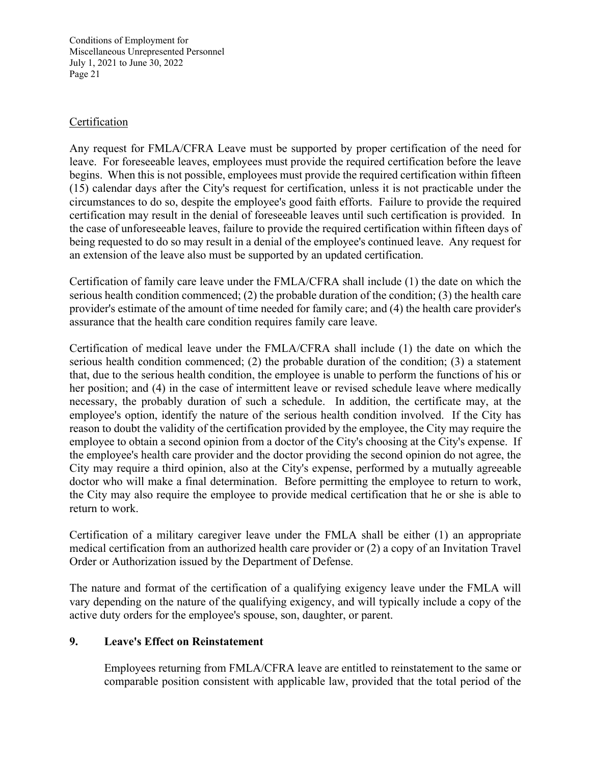### Certification

Any request for FMLA/CFRA Leave must be supported by proper certification of the need for leave. For foreseeable leaves, employees must provide the required certification before the leave begins. When this is not possible, employees must provide the required certification within fifteen (15) calendar days after the City's request for certification, unless it is not practicable under the circumstances to do so, despite the employee's good faith efforts. Failure to provide the required certification may result in the denial of foreseeable leaves until such certification is provided. In the case of unforeseeable leaves, failure to provide the required certification within fifteen days of being requested to do so may result in a denial of the employee's continued leave. Any request for an extension of the leave also must be supported by an updated certification.

Certification of family care leave under the FMLA/CFRA shall include (1) the date on which the serious health condition commenced; (2) the probable duration of the condition; (3) the health care provider's estimate of the amount of time needed for family care; and (4) the health care provider's assurance that the health care condition requires family care leave.

Certification of medical leave under the FMLA/CFRA shall include (1) the date on which the serious health condition commenced; (2) the probable duration of the condition; (3) a statement that, due to the serious health condition, the employee is unable to perform the functions of his or her position; and (4) in the case of intermittent leave or revised schedule leave where medically necessary, the probably duration of such a schedule. In addition, the certificate may, at the employee's option, identify the nature of the serious health condition involved. If the City has reason to doubt the validity of the certification provided by the employee, the City may require the employee to obtain a second opinion from a doctor of the City's choosing at the City's expense. If the employee's health care provider and the doctor providing the second opinion do not agree, the City may require a third opinion, also at the City's expense, performed by a mutually agreeable doctor who will make a final determination. Before permitting the employee to return to work, the City may also require the employee to provide medical certification that he or she is able to return to work.

Certification of a military caregiver leave under the FMLA shall be either (1) an appropriate medical certification from an authorized health care provider or (2) a copy of an Invitation Travel Order or Authorization issued by the Department of Defense.

The nature and format of the certification of a qualifying exigency leave under the FMLA will vary depending on the nature of the qualifying exigency, and will typically include a copy of the active duty orders for the employee's spouse, son, daughter, or parent.

#### **9. Leave's Effect on Reinstatement**

 Employees returning from FMLA/CFRA leave are entitled to reinstatement to the same or comparable position consistent with applicable law, provided that the total period of the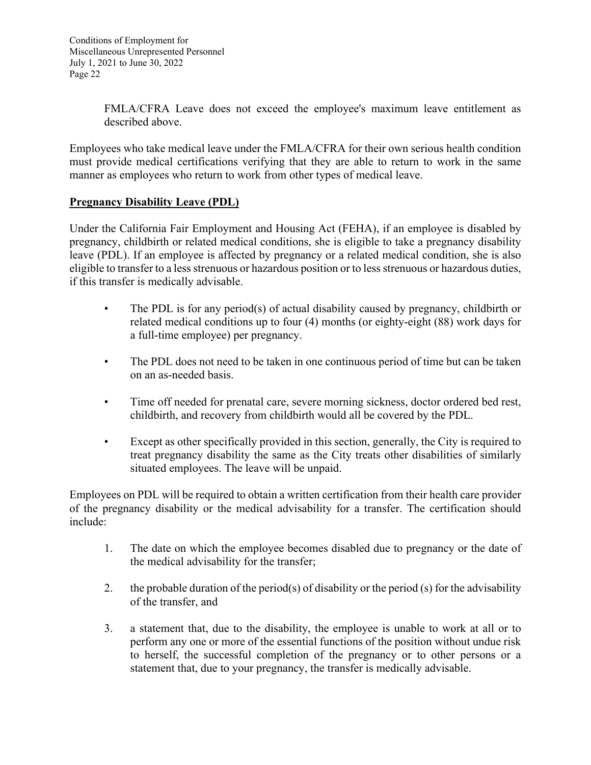FMLA/CFRA Leave does not exceed the employee's maximum leave entitlement as described above.

Employees who take medical leave under the FMLA/CFRA for their own serious health condition must provide medical certifications verifying that they are able to return to work in the same manner as employees who return to work from other types of medical leave.

# **Pregnancy Disability Leave (PDL)**

Under the California Fair Employment and Housing Act (FEHA), if an employee is disabled by pregnancy, childbirth or related medical conditions, she is eligible to take a pregnancy disability leave (PDL). If an employee is affected by pregnancy or a related medical condition, she is also eligible to transfer to a less strenuous or hazardous position or to less strenuous or hazardous duties, if this transfer is medically advisable.

- The PDL is for any period(s) of actual disability caused by pregnancy, childbirth or related medical conditions up to four (4) months (or eighty-eight (88) work days for a full-time employee) per pregnancy.
- The PDL does not need to be taken in one continuous period of time but can be taken on an as-needed basis.
- Time off needed for prenatal care, severe morning sickness, doctor ordered bed rest, childbirth, and recovery from childbirth would all be covered by the PDL.
- Except as other specifically provided in this section, generally, the City is required to treat pregnancy disability the same as the City treats other disabilities of similarly situated employees. The leave will be unpaid.

Employees on PDL will be required to obtain a written certification from their health care provider of the pregnancy disability or the medical advisability for a transfer. The certification should include:

- 1. The date on which the employee becomes disabled due to pregnancy or the date of the medical advisability for the transfer;
- 2. the probable duration of the period(s) of disability or the period (s) for the advisability of the transfer, and
- 3. a statement that, due to the disability, the employee is unable to work at all or to perform any one or more of the essential functions of the position without undue risk to herself, the successful completion of the pregnancy or to other persons or a statement that, due to your pregnancy, the transfer is medically advisable.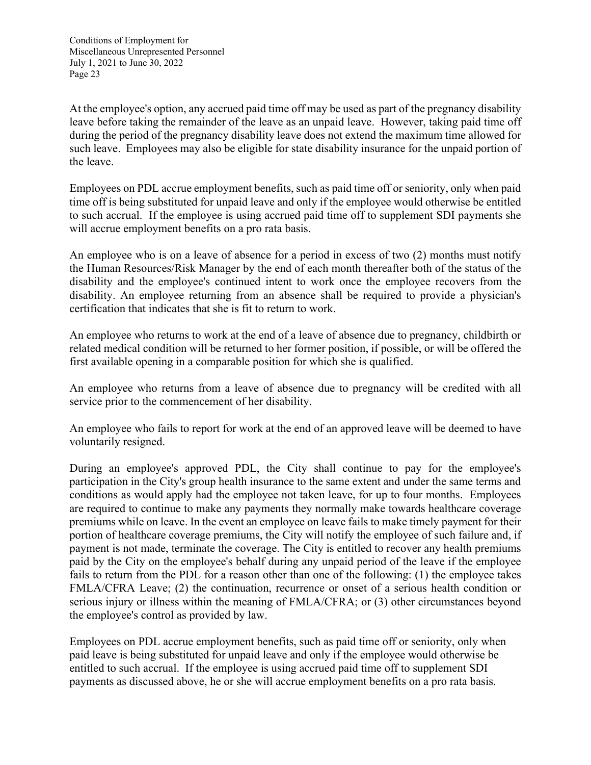At the employee's option, any accrued paid time off may be used as part of the pregnancy disability leave before taking the remainder of the leave as an unpaid leave. However, taking paid time off during the period of the pregnancy disability leave does not extend the maximum time allowed for such leave. Employees may also be eligible for state disability insurance for the unpaid portion of the leave.

Employees on PDL accrue employment benefits, such as paid time off or seniority, only when paid time off is being substituted for unpaid leave and only if the employee would otherwise be entitled to such accrual. If the employee is using accrued paid time off to supplement SDI payments she will accrue employment benefits on a pro rata basis.

An employee who is on a leave of absence for a period in excess of two (2) months must notify the Human Resources/Risk Manager by the end of each month thereafter both of the status of the disability and the employee's continued intent to work once the employee recovers from the disability. An employee returning from an absence shall be required to provide a physician's certification that indicates that she is fit to return to work.

An employee who returns to work at the end of a leave of absence due to pregnancy, childbirth or related medical condition will be returned to her former position, if possible, or will be offered the first available opening in a comparable position for which she is qualified.

An employee who returns from a leave of absence due to pregnancy will be credited with all service prior to the commencement of her disability.

An employee who fails to report for work at the end of an approved leave will be deemed to have voluntarily resigned.

During an employee's approved PDL, the City shall continue to pay for the employee's participation in the City's group health insurance to the same extent and under the same terms and conditions as would apply had the employee not taken leave, for up to four months. Employees are required to continue to make any payments they normally make towards healthcare coverage premiums while on leave. In the event an employee on leave fails to make timely payment for their portion of healthcare coverage premiums, the City will notify the employee of such failure and, if payment is not made, terminate the coverage. The City is entitled to recover any health premiums paid by the City on the employee's behalf during any unpaid period of the leave if the employee fails to return from the PDL for a reason other than one of the following: (1) the employee takes FMLA/CFRA Leave; (2) the continuation, recurrence or onset of a serious health condition or serious injury or illness within the meaning of FMLA/CFRA; or (3) other circumstances beyond the employee's control as provided by law.

Employees on PDL accrue employment benefits, such as paid time off or seniority, only when paid leave is being substituted for unpaid leave and only if the employee would otherwise be entitled to such accrual. If the employee is using accrued paid time off to supplement SDI payments as discussed above, he or she will accrue employment benefits on a pro rata basis.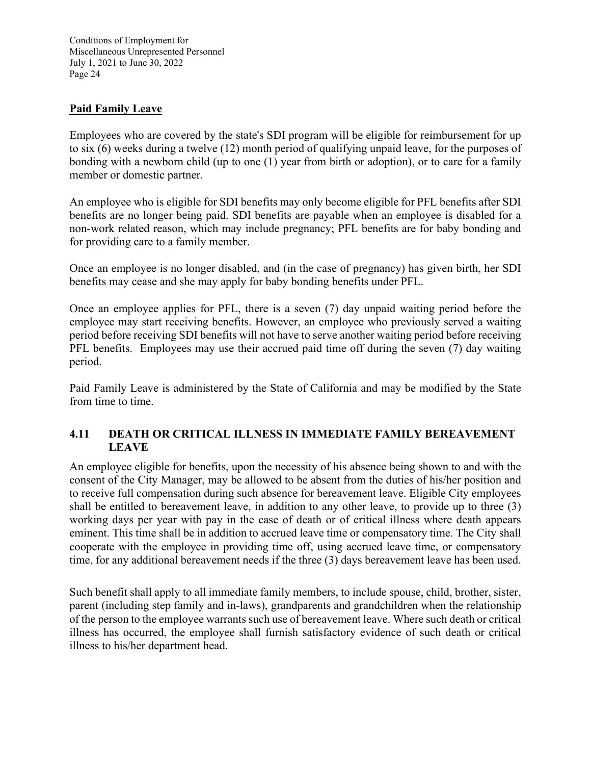### **Paid Family Leave**

Employees who are covered by the state's SDI program will be eligible for reimbursement for up to six (6) weeks during a twelve (12) month period of qualifying unpaid leave, for the purposes of bonding with a newborn child (up to one (1) year from birth or adoption), or to care for a family member or domestic partner.

An employee who is eligible for SDI benefits may only become eligible for PFL benefits after SDI benefits are no longer being paid. SDI benefits are payable when an employee is disabled for a non-work related reason, which may include pregnancy; PFL benefits are for baby bonding and for providing care to a family member.

Once an employee is no longer disabled, and (in the case of pregnancy) has given birth, her SDI benefits may cease and she may apply for baby bonding benefits under PFL.

Once an employee applies for PFL, there is a seven (7) day unpaid waiting period before the employee may start receiving benefits. However, an employee who previously served a waiting period before receiving SDI benefits will not have to serve another waiting period before receiving PFL benefits. Employees may use their accrued paid time off during the seven (7) day waiting period.

Paid Family Leave is administered by the State of California and may be modified by the State from time to time.

### **4.11 DEATH OR CRITICAL ILLNESS IN IMMEDIATE FAMILY BEREAVEMENT LEAVE**

An employee eligible for benefits, upon the necessity of his absence being shown to and with the consent of the City Manager, may be allowed to be absent from the duties of his/her position and to receive full compensation during such absence for bereavement leave. Eligible City employees shall be entitled to bereavement leave, in addition to any other leave, to provide up to three (3) working days per year with pay in the case of death or of critical illness where death appears eminent. This time shall be in addition to accrued leave time or compensatory time. The City shall cooperate with the employee in providing time off, using accrued leave time, or compensatory time, for any additional bereavement needs if the three (3) days bereavement leave has been used.

Such benefit shall apply to all immediate family members, to include spouse, child, brother, sister, parent (including step family and in-laws), grandparents and grandchildren when the relationship of the person to the employee warrants such use of bereavement leave. Where such death or critical illness has occurred, the employee shall furnish satisfactory evidence of such death or critical illness to his/her department head.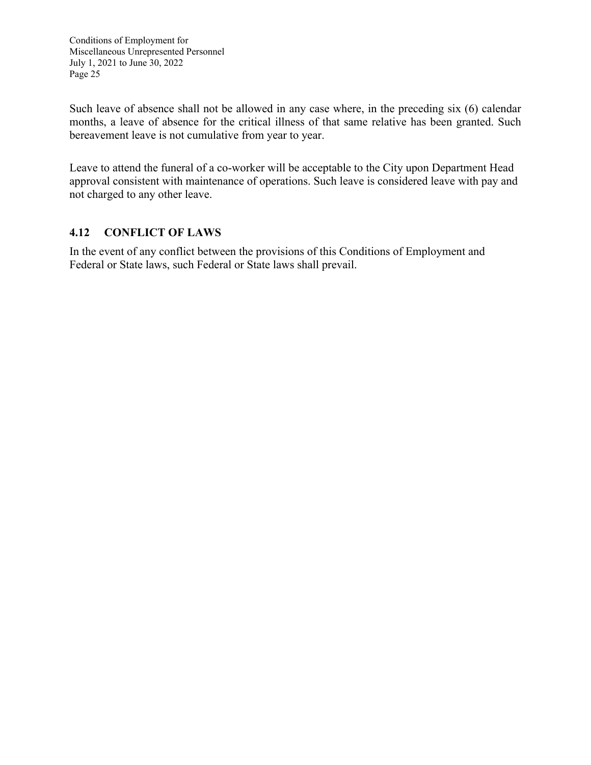Such leave of absence shall not be allowed in any case where, in the preceding six (6) calendar months, a leave of absence for the critical illness of that same relative has been granted. Such bereavement leave is not cumulative from year to year.

Leave to attend the funeral of a co-worker will be acceptable to the City upon Department Head approval consistent with maintenance of operations. Such leave is considered leave with pay and not charged to any other leave.

### **4.12 CONFLICT OF LAWS**

In the event of any conflict between the provisions of this Conditions of Employment and Federal or State laws, such Federal or State laws shall prevail.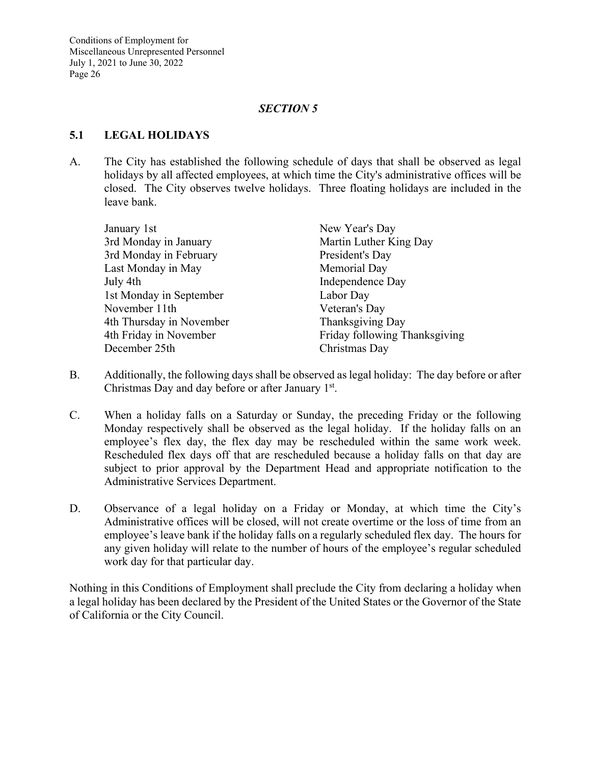### *SECTION 5*

### **5.1 LEGAL HOLIDAYS**

A. The City has established the following schedule of days that shall be observed as legal holidays by all affected employees, at which time the City's administrative offices will be closed. The City observes twelve holidays. Three floating holidays are included in the leave bank.

| New Year's Day                |
|-------------------------------|
| Martin Luther King Day        |
| President's Day               |
| Memorial Day                  |
| Independence Day              |
| Labor Day                     |
| Veteran's Day                 |
| Thanksgiving Day              |
| Friday following Thanksgiving |
| Christmas Day                 |
|                               |

- B. Additionally, the following days shall be observed as legal holiday: The day before or after Christmas Day and day before or after January  $1<sup>st</sup>$ .
- C. When a holiday falls on a Saturday or Sunday, the preceding Friday or the following Monday respectively shall be observed as the legal holiday. If the holiday falls on an employee's flex day, the flex day may be rescheduled within the same work week. Rescheduled flex days off that are rescheduled because a holiday falls on that day are subject to prior approval by the Department Head and appropriate notification to the Administrative Services Department.
- D. Observance of a legal holiday on a Friday or Monday, at which time the City's Administrative offices will be closed, will not create overtime or the loss of time from an employee's leave bank if the holiday falls on a regularly scheduled flex day. The hours for any given holiday will relate to the number of hours of the employee's regular scheduled work day for that particular day.

Nothing in this Conditions of Employment shall preclude the City from declaring a holiday when a legal holiday has been declared by the President of the United States or the Governor of the State of California or the City Council.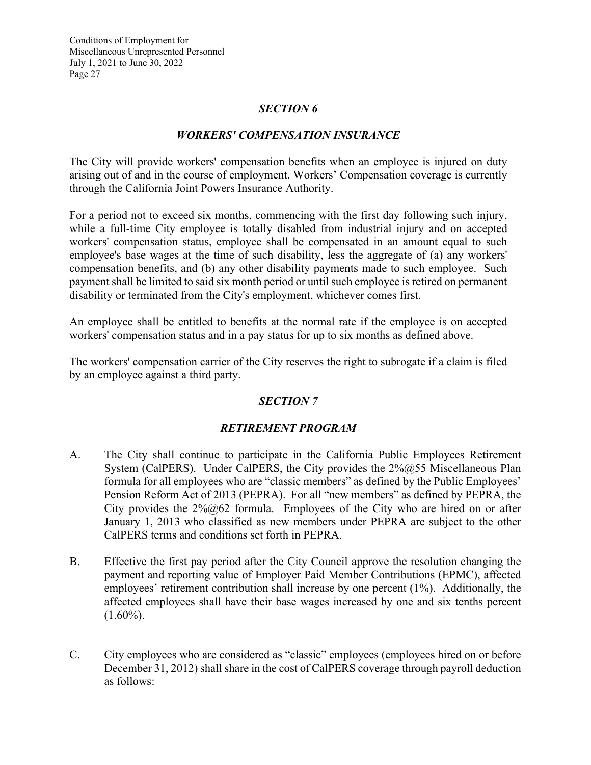### *SECTION 6*

### *WORKERS' COMPENSATION INSURANCE*

The City will provide workers' compensation benefits when an employee is injured on duty arising out of and in the course of employment. Workers' Compensation coverage is currently through the California Joint Powers Insurance Authority.

For a period not to exceed six months, commencing with the first day following such injury, while a full-time City employee is totally disabled from industrial injury and on accepted workers' compensation status, employee shall be compensated in an amount equal to such employee's base wages at the time of such disability, less the aggregate of (a) any workers' compensation benefits, and (b) any other disability payments made to such employee. Such payment shall be limited to said six month period or until such employee is retired on permanent disability or terminated from the City's employment, whichever comes first.

An employee shall be entitled to benefits at the normal rate if the employee is on accepted workers' compensation status and in a pay status for up to six months as defined above.

The workers' compensation carrier of the City reserves the right to subrogate if a claim is filed by an employee against a third party.

### *SECTION 7*

### *RETIREMENT PROGRAM*

- A. The City shall continue to participate in the California Public Employees Retirement System (CalPERS). Under CalPERS, the City provides the 2%@55 Miscellaneous Plan formula for all employees who are "classic members" as defined by the Public Employees' Pension Reform Act of 2013 (PEPRA). For all "new members" as defined by PEPRA, the City provides the  $2\%@62$  formula. Employees of the City who are hired on or after January 1, 2013 who classified as new members under PEPRA are subject to the other CalPERS terms and conditions set forth in PEPRA.
- B. Effective the first pay period after the City Council approve the resolution changing the payment and reporting value of Employer Paid Member Contributions (EPMC), affected employees' retirement contribution shall increase by one percent (1%). Additionally, the affected employees shall have their base wages increased by one and six tenths percent  $(1.60\%)$ .
- C. City employees who are considered as "classic" employees (employees hired on or before December 31, 2012) shall share in the cost of CalPERS coverage through payroll deduction as follows: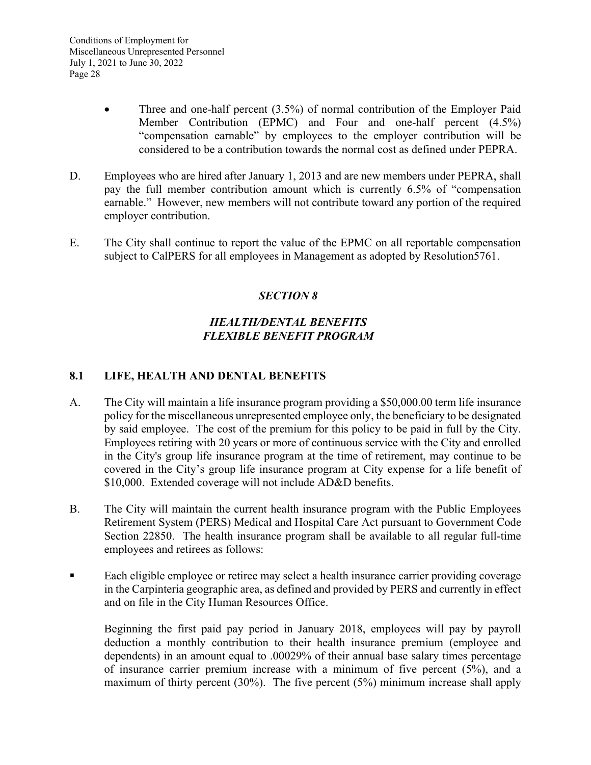- Three and one-half percent (3.5%) of normal contribution of the Employer Paid Member Contribution (EPMC) and Four and one-half percent (4.5%) "compensation earnable" by employees to the employer contribution will be considered to be a contribution towards the normal cost as defined under PEPRA.
- D. Employees who are hired after January 1, 2013 and are new members under PEPRA, shall pay the full member contribution amount which is currently 6.5% of "compensation earnable." However, new members will not contribute toward any portion of the required employer contribution.
- E. The City shall continue to report the value of the EPMC on all reportable compensation subject to CalPERS for all employees in Management as adopted by Resolution5761.

# *SECTION 8*

# *HEALTH/DENTAL BENEFITS FLEXIBLE BENEFIT PROGRAM*

### **8.1 LIFE, HEALTH AND DENTAL BENEFITS**

- A. The City will maintain a life insurance program providing a \$50,000.00 term life insurance policy for the miscellaneous unrepresented employee only, the beneficiary to be designated by said employee. The cost of the premium for this policy to be paid in full by the City. Employees retiring with 20 years or more of continuous service with the City and enrolled in the City's group life insurance program at the time of retirement, may continue to be covered in the City's group life insurance program at City expense for a life benefit of \$10,000. Extended coverage will not include AD&D benefits.
- B. The City will maintain the current health insurance program with the Public Employees Retirement System (PERS) Medical and Hospital Care Act pursuant to Government Code Section 22850. The health insurance program shall be available to all regular full-time employees and retirees as follows:
- Each eligible employee or retiree may select a health insurance carrier providing coverage in the Carpinteria geographic area, as defined and provided by PERS and currently in effect and on file in the City Human Resources Office.

Beginning the first paid pay period in January 2018, employees will pay by payroll deduction a monthly contribution to their health insurance premium (employee and dependents) in an amount equal to .00029% of their annual base salary times percentage of insurance carrier premium increase with a minimum of five percent (5%), and a maximum of thirty percent (30%). The five percent (5%) minimum increase shall apply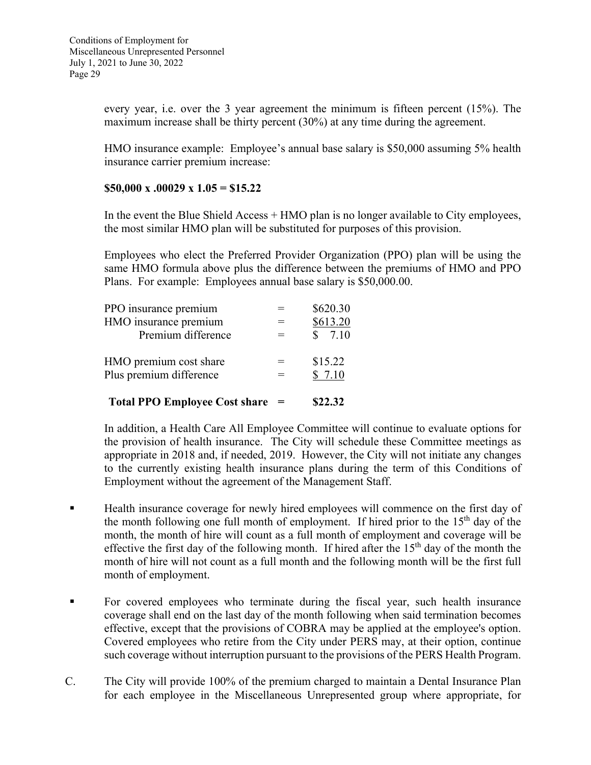every year, i.e. over the 3 year agreement the minimum is fifteen percent (15%). The maximum increase shall be thirty percent (30%) at any time during the agreement.

HMO insurance example: Employee's annual base salary is \$50,000 assuming 5% health insurance carrier premium increase:

#### **\$50,000 x .00029 x 1.05 = \$15.22**

In the event the Blue Shield Access + HMO plan is no longer available to City employees, the most similar HMO plan will be substituted for purposes of this provision.

Employees who elect the Preferred Provider Organization (PPO) plan will be using the same HMO formula above plus the difference between the premiums of HMO and PPO Plans. For example: Employees annual base salary is \$50,000.00.

| <b>Total PPO Employee Cost share</b> |   | \$22.32  |
|--------------------------------------|---|----------|
| Plus premium difference              |   | \$7.10   |
| HMO premium cost share               |   | \$15.22  |
| Premium difference                   | - | \$7.10   |
| HMO insurance premium                |   | \$613.20 |
| PPO insurance premium                |   | \$620.30 |

In addition, a Health Care All Employee Committee will continue to evaluate options for the provision of health insurance. The City will schedule these Committee meetings as appropriate in 2018 and, if needed, 2019. However, the City will not initiate any changes to the currently existing health insurance plans during the term of this Conditions of Employment without the agreement of the Management Staff.

- **Health insurance coverage for newly hired employees will commence on the first day of** the month following one full month of employment. If hired prior to the  $15<sup>th</sup>$  day of the month, the month of hire will count as a full month of employment and coverage will be effective the first day of the following month. If hired after the  $15<sup>th</sup>$  day of the month the month of hire will not count as a full month and the following month will be the first full month of employment.
- For covered employees who terminate during the fiscal year, such health insurance coverage shall end on the last day of the month following when said termination becomes effective, except that the provisions of COBRA may be applied at the employee's option. Covered employees who retire from the City under PERS may, at their option, continue such coverage without interruption pursuant to the provisions of the PERS Health Program.
- C. The City will provide 100% of the premium charged to maintain a Dental Insurance Plan for each employee in the Miscellaneous Unrepresented group where appropriate, for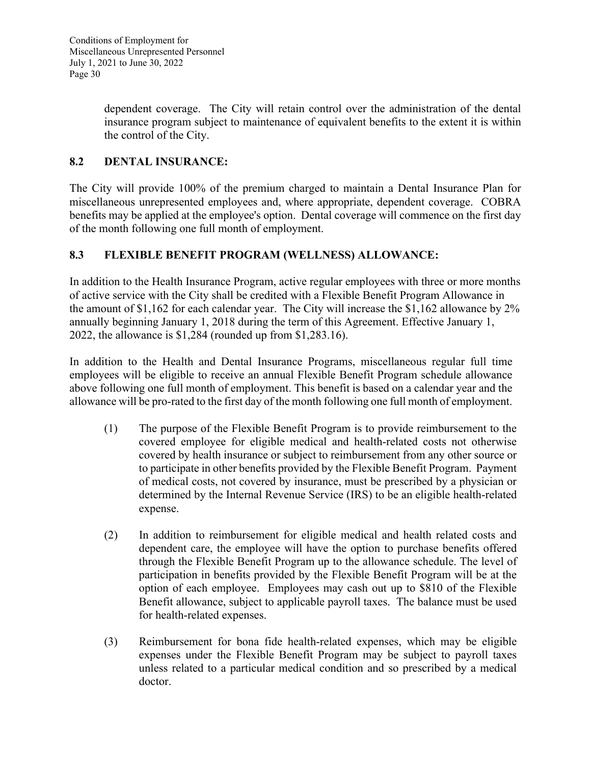dependent coverage. The City will retain control over the administration of the dental insurance program subject to maintenance of equivalent benefits to the extent it is within the control of the City.

# **8.2 DENTAL INSURANCE:**

The City will provide 100% of the premium charged to maintain a Dental Insurance Plan for miscellaneous unrepresented employees and, where appropriate, dependent coverage. COBRA benefits may be applied at the employee's option. Dental coverage will commence on the first day of the month following one full month of employment.

# **8.3 FLEXIBLE BENEFIT PROGRAM (WELLNESS) ALLOWANCE:**

In addition to the Health Insurance Program, active regular employees with three or more months of active service with the City shall be credited with a Flexible Benefit Program Allowance in the amount of \$1,162 for each calendar year. The City will increase the \$1,162 allowance by 2% annually beginning January 1, 2018 during the term of this Agreement. Effective January 1, 2022, the allowance is \$1,284 (rounded up from \$1,283.16).

In addition to the Health and Dental Insurance Programs, miscellaneous regular full time employees will be eligible to receive an annual Flexible Benefit Program schedule allowance above following one full month of employment. This benefit is based on a calendar year and the allowance will be pro-rated to the first day of the month following one full month of employment.

- (1) The purpose of the Flexible Benefit Program is to provide reimbursement to the covered employee for eligible medical and health-related costs not otherwise covered by health insurance or subject to reimbursement from any other source or to participate in other benefits provided by the Flexible Benefit Program. Payment of medical costs, not covered by insurance, must be prescribed by a physician or determined by the Internal Revenue Service (IRS) to be an eligible health-related expense.
- (2) In addition to reimbursement for eligible medical and health related costs and dependent care, the employee will have the option to purchase benefits offered through the Flexible Benefit Program up to the allowance schedule. The level of participation in benefits provided by the Flexible Benefit Program will be at the option of each employee. Employees may cash out up to \$810 of the Flexible Benefit allowance, subject to applicable payroll taxes. The balance must be used for health-related expenses.
- (3) Reimbursement for bona fide health-related expenses, which may be eligible expenses under the Flexible Benefit Program may be subject to payroll taxes unless related to a particular medical condition and so prescribed by a medical doctor.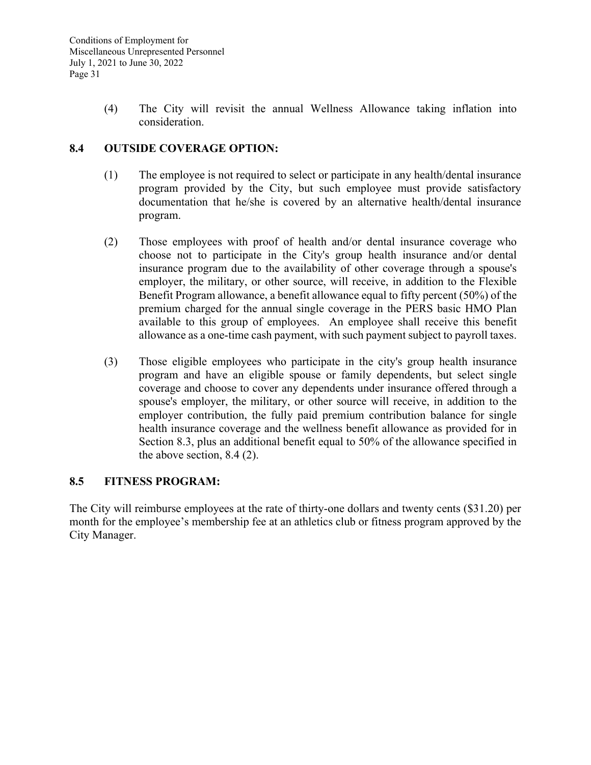(4) The City will revisit the annual Wellness Allowance taking inflation into consideration.

### **8.4 OUTSIDE COVERAGE OPTION:**

- (1) The employee is not required to select or participate in any health/dental insurance program provided by the City, but such employee must provide satisfactory documentation that he/she is covered by an alternative health/dental insurance program.
- (2) Those employees with proof of health and/or dental insurance coverage who choose not to participate in the City's group health insurance and/or dental insurance program due to the availability of other coverage through a spouse's employer, the military, or other source, will receive, in addition to the Flexible Benefit Program allowance, a benefit allowance equal to fifty percent (50%) of the premium charged for the annual single coverage in the PERS basic HMO Plan available to this group of employees. An employee shall receive this benefit allowance as a one-time cash payment, with such payment subject to payroll taxes.
- (3) Those eligible employees who participate in the city's group health insurance program and have an eligible spouse or family dependents, but select single coverage and choose to cover any dependents under insurance offered through a spouse's employer, the military, or other source will receive, in addition to the employer contribution, the fully paid premium contribution balance for single health insurance coverage and the wellness benefit allowance as provided for in Section 8.3, plus an additional benefit equal to 50% of the allowance specified in the above section, 8.4 (2).

### **8.5 FITNESS PROGRAM:**

The City will reimburse employees at the rate of thirty-one dollars and twenty cents (\$31.20) per month for the employee's membership fee at an athletics club or fitness program approved by the City Manager.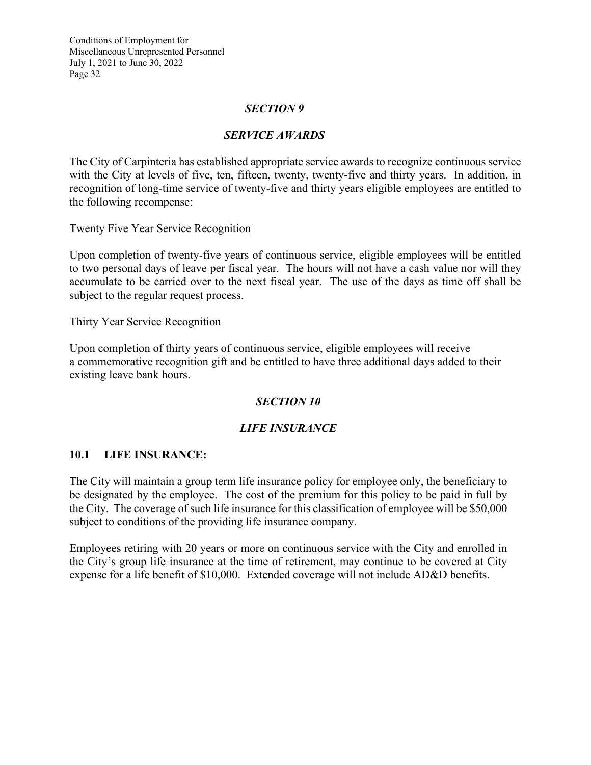#### *SECTION 9*

### *SERVICE AWARDS*

The City of Carpinteria has established appropriate service awards to recognize continuous service with the City at levels of five, ten, fifteen, twenty, twenty-five and thirty years. In addition, in recognition of long-time service of twenty-five and thirty years eligible employees are entitled to the following recompense:

#### Twenty Five Year Service Recognition

Upon completion of twenty-five years of continuous service, eligible employees will be entitled to two personal days of leave per fiscal year. The hours will not have a cash value nor will they accumulate to be carried over to the next fiscal year. The use of the days as time off shall be subject to the regular request process.

#### Thirty Year Service Recognition

Upon completion of thirty years of continuous service, eligible employees will receive a commemorative recognition gift and be entitled to have three additional days added to their existing leave bank hours.

### *SECTION 10*

### *LIFE INSURANCE*

#### **10.1 LIFE INSURANCE:**

The City will maintain a group term life insurance policy for employee only, the beneficiary to be designated by the employee. The cost of the premium for this policy to be paid in full by the City. The coverage of such life insurance for this classification of employee will be \$50,000 subject to conditions of the providing life insurance company.

Employees retiring with 20 years or more on continuous service with the City and enrolled in the City's group life insurance at the time of retirement, may continue to be covered at City expense for a life benefit of \$10,000. Extended coverage will not include AD&D benefits.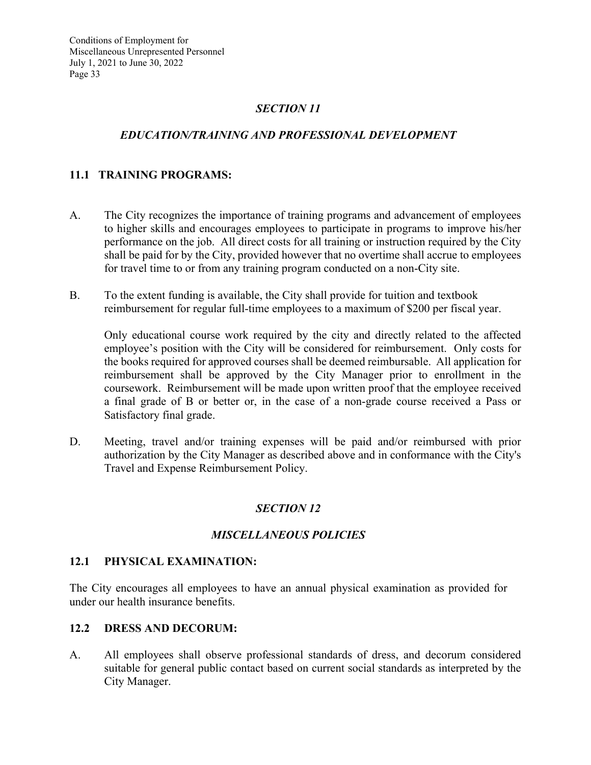# *SECTION 11*

### *EDUCATION/TRAINING AND PROFESSIONAL DEVELOPMENT*

### **11.1 TRAINING PROGRAMS:**

- A. The City recognizes the importance of training programs and advancement of employees to higher skills and encourages employees to participate in programs to improve his/her performance on the job. All direct costs for all training or instruction required by the City shall be paid for by the City, provided however that no overtime shall accrue to employees for travel time to or from any training program conducted on a non-City site.
- B. To the extent funding is available, the City shall provide for tuition and textbook reimbursement for regular full-time employees to a maximum of \$200 per fiscal year.

Only educational course work required by the city and directly related to the affected employee's position with the City will be considered for reimbursement. Only costs for the books required for approved courses shall be deemed reimbursable. All application for reimbursement shall be approved by the City Manager prior to enrollment in the coursework. Reimbursement will be made upon written proof that the employee received a final grade of B or better or, in the case of a non-grade course received a Pass or Satisfactory final grade.

D. Meeting, travel and/or training expenses will be paid and/or reimbursed with prior authorization by the City Manager as described above and in conformance with the City's Travel and Expense Reimbursement Policy.

#### *SECTION 12*

#### *MISCELLANEOUS POLICIES*

#### **12.1 PHYSICAL EXAMINATION:**

The City encourages all employees to have an annual physical examination as provided for under our health insurance benefits.

#### **12.2 DRESS AND DECORUM:**

A. All employees shall observe professional standards of dress, and decorum considered suitable for general public contact based on current social standards as interpreted by the City Manager.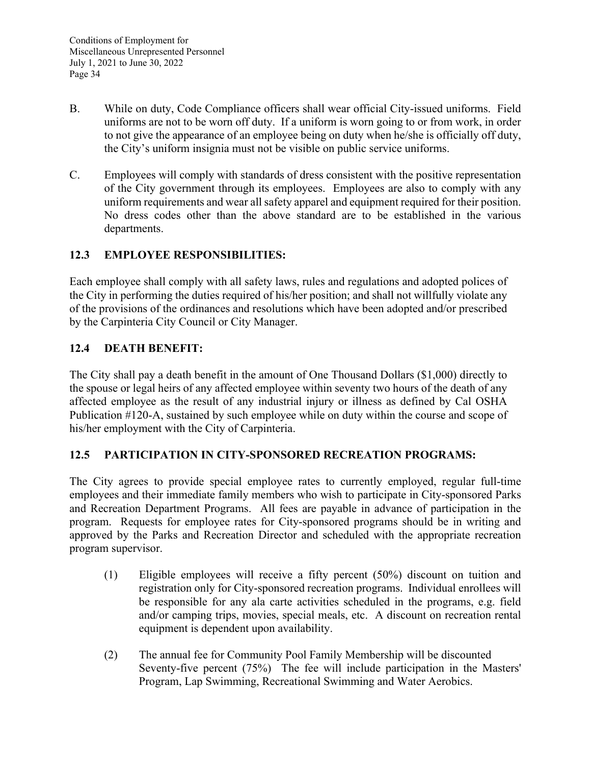- B. While on duty, Code Compliance officers shall wear official City-issued uniforms. Field uniforms are not to be worn off duty. If a uniform is worn going to or from work, in order to not give the appearance of an employee being on duty when he/she is officially off duty, the City's uniform insignia must not be visible on public service uniforms.
- C. Employees will comply with standards of dress consistent with the positive representation of the City government through its employees. Employees are also to comply with any uniform requirements and wear all safety apparel and equipment required for their position. No dress codes other than the above standard are to be established in the various departments.

# **12.3 EMPLOYEE RESPONSIBILITIES:**

Each employee shall comply with all safety laws, rules and regulations and adopted polices of the City in performing the duties required of his/her position; and shall not willfully violate any of the provisions of the ordinances and resolutions which have been adopted and/or prescribed by the Carpinteria City Council or City Manager.

### **12.4 DEATH BENEFIT:**

The City shall pay a death benefit in the amount of One Thousand Dollars (\$1,000) directly to the spouse or legal heirs of any affected employee within seventy two hours of the death of any affected employee as the result of any industrial injury or illness as defined by Cal OSHA Publication #120-A, sustained by such employee while on duty within the course and scope of his/her employment with the City of Carpinteria.

### **12.5 PARTICIPATION IN CITY-SPONSORED RECREATION PROGRAMS:**

The City agrees to provide special employee rates to currently employed, regular full-time employees and their immediate family members who wish to participate in City-sponsored Parks and Recreation Department Programs. All fees are payable in advance of participation in the program. Requests for employee rates for City-sponsored programs should be in writing and approved by the Parks and Recreation Director and scheduled with the appropriate recreation program supervisor.

- (1) Eligible employees will receive a fifty percent (50%) discount on tuition and registration only for City-sponsored recreation programs. Individual enrollees will be responsible for any ala carte activities scheduled in the programs, e.g. field and/or camping trips, movies, special meals, etc. A discount on recreation rental equipment is dependent upon availability.
- (2) The annual fee for Community Pool Family Membership will be discounted Seventy-five percent (75%) The fee will include participation in the Masters' Program, Lap Swimming, Recreational Swimming and Water Aerobics.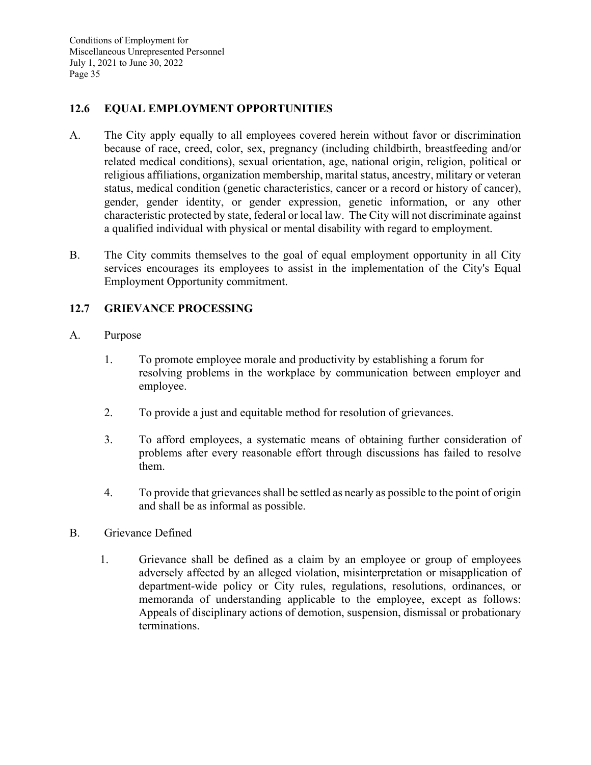### **12.6 EQUAL EMPLOYMENT OPPORTUNITIES**

- A. The City apply equally to all employees covered herein without favor or discrimination because of race, creed, color, sex, pregnancy (including childbirth, breastfeeding and/or related medical conditions), sexual orientation, age, national origin, religion, political or religious affiliations, organization membership, marital status, ancestry, military or veteran status, medical condition (genetic characteristics, cancer or a record or history of cancer), gender, gender identity, or gender expression, genetic information, or any other characteristic protected by state, federal or local law. The City will not discriminate against a qualified individual with physical or mental disability with regard to employment.
- B. The City commits themselves to the goal of equal employment opportunity in all City services encourages its employees to assist in the implementation of the City's Equal Employment Opportunity commitment.

### **12.7 GRIEVANCE PROCESSING**

### A. Purpose

- 1. To promote employee morale and productivity by establishing a forum for resolving problems in the workplace by communication between employer and employee.
- 2. To provide a just and equitable method for resolution of grievances.
- 3. To afford employees, a systematic means of obtaining further consideration of problems after every reasonable effort through discussions has failed to resolve them.
- 4. To provide that grievances shall be settled as nearly as possible to the point of origin and shall be as informal as possible.
- B. Grievance Defined
	- 1. Grievance shall be defined as a claim by an employee or group of employees adversely affected by an alleged violation, misinterpretation or misapplication of department-wide policy or City rules, regulations, resolutions, ordinances, or memoranda of understanding applicable to the employee, except as follows: Appeals of disciplinary actions of demotion, suspension, dismissal or probationary terminations.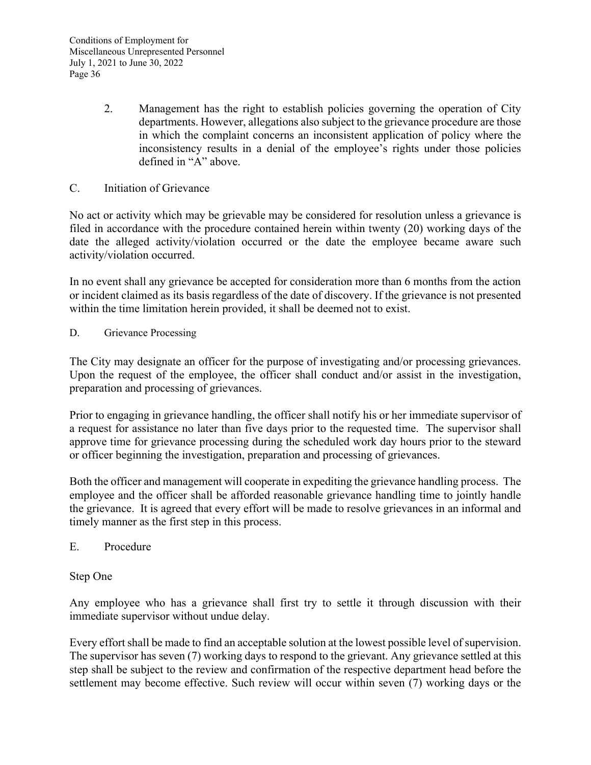- 2. Management has the right to establish policies governing the operation of City departments. However, allegations also subject to the grievance procedure are those in which the complaint concerns an inconsistent application of policy where the inconsistency results in a denial of the employee's rights under those policies defined in "A" above.
- C. Initiation of Grievance

No act or activity which may be grievable may be considered for resolution unless a grievance is filed in accordance with the procedure contained herein within twenty (20) working days of the date the alleged activity/violation occurred or the date the employee became aware such activity/violation occurred.

In no event shall any grievance be accepted for consideration more than 6 months from the action or incident claimed as its basis regardless of the date of discovery. If the grievance is not presented within the time limitation herein provided, it shall be deemed not to exist.

D. Grievance Processing

The City may designate an officer for the purpose of investigating and/or processing grievances. Upon the request of the employee, the officer shall conduct and/or assist in the investigation, preparation and processing of grievances.

Prior to engaging in grievance handling, the officer shall notify his or her immediate supervisor of a request for assistance no later than five days prior to the requested time. The supervisor shall approve time for grievance processing during the scheduled work day hours prior to the steward or officer beginning the investigation, preparation and processing of grievances.

Both the officer and management will cooperate in expediting the grievance handling process. The employee and the officer shall be afforded reasonable grievance handling time to jointly handle the grievance. It is agreed that every effort will be made to resolve grievances in an informal and timely manner as the first step in this process.

E. Procedure

#### Step One

Any employee who has a grievance shall first try to settle it through discussion with their immediate supervisor without undue delay.

Every effort shall be made to find an acceptable solution at the lowest possible level of supervision. The supervisor has seven (7) working days to respond to the grievant. Any grievance settled at this step shall be subject to the review and confirmation of the respective department head before the settlement may become effective. Such review will occur within seven (7) working days or the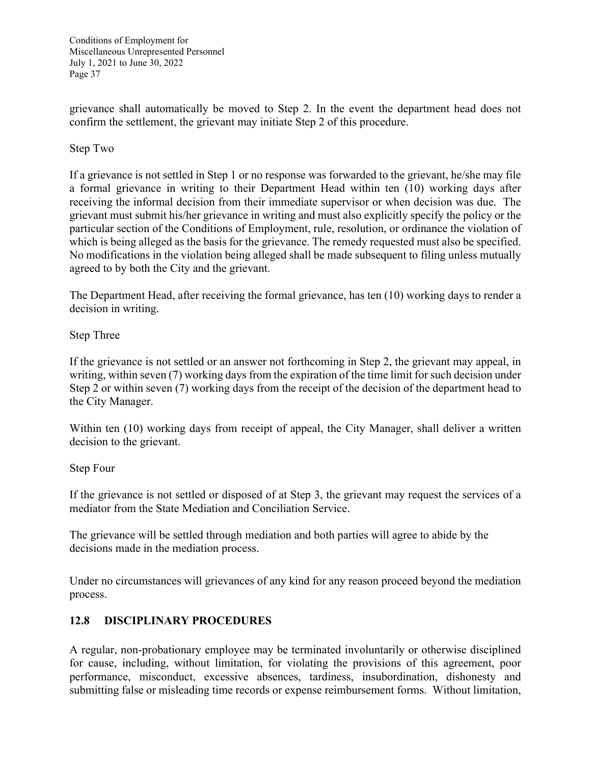grievance shall automatically be moved to Step 2. In the event the department head does not confirm the settlement, the grievant may initiate Step 2 of this procedure.

### Step Two

If a grievance is not settled in Step 1 or no response was forwarded to the grievant, he/she may file a formal grievance in writing to their Department Head within ten (10) working days after receiving the informal decision from their immediate supervisor or when decision was due. The grievant must submit his/her grievance in writing and must also explicitly specify the policy or the particular section of the Conditions of Employment, rule, resolution, or ordinance the violation of which is being alleged as the basis for the grievance. The remedy requested must also be specified. No modifications in the violation being alleged shall be made subsequent to filing unless mutually agreed to by both the City and the grievant.

The Department Head, after receiving the formal grievance, has ten (10) working days to render a decision in writing.

### Step Three

If the grievance is not settled or an answer not forthcoming in Step 2, the grievant may appeal, in writing, within seven (7) working days from the expiration of the time limit for such decision under Step 2 or within seven (7) working days from the receipt of the decision of the department head to the City Manager.

Within ten (10) working days from receipt of appeal, the City Manager, shall deliver a written decision to the grievant.

#### Step Four

If the grievance is not settled or disposed of at Step 3, the grievant may request the services of a mediator from the State Mediation and Conciliation Service.

The grievance will be settled through mediation and both parties will agree to abide by the decisions made in the mediation process.

Under no circumstances will grievances of any kind for any reason proceed beyond the mediation process.

### **12.8 DISCIPLINARY PROCEDURES**

A regular, non-probationary employee may be terminated involuntarily or otherwise disciplined for cause, including, without limitation, for violating the provisions of this agreement, poor performance, misconduct, excessive absences, tardiness, insubordination, dishonesty and submitting false or misleading time records or expense reimbursement forms. Without limitation,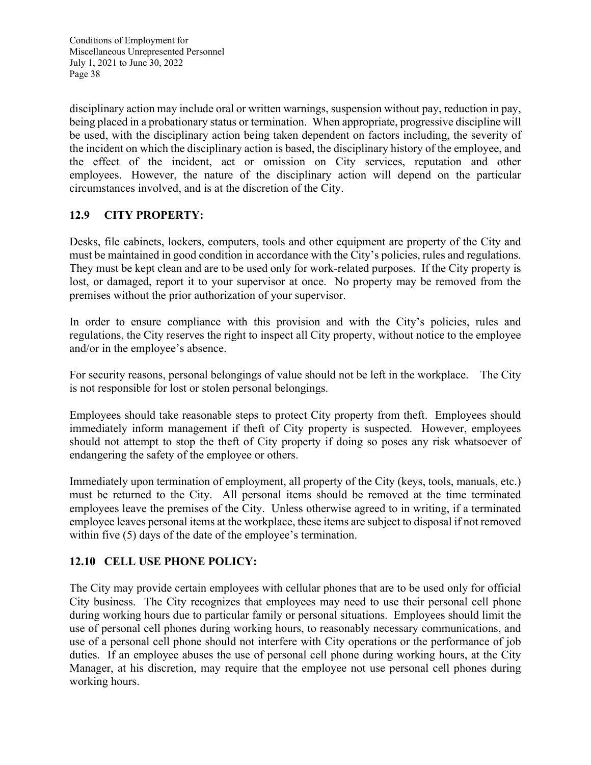disciplinary action may include oral or written warnings, suspension without pay, reduction in pay, being placed in a probationary status or termination. When appropriate, progressive discipline will be used, with the disciplinary action being taken dependent on factors including, the severity of the incident on which the disciplinary action is based, the disciplinary history of the employee, and the effect of the incident, act or omission on City services, reputation and other employees. However, the nature of the disciplinary action will depend on the particular circumstances involved, and is at the discretion of the City.

# **12.9 CITY PROPERTY:**

Desks, file cabinets, lockers, computers, tools and other equipment are property of the City and must be maintained in good condition in accordance with the City's policies, rules and regulations. They must be kept clean and are to be used only for work-related purposes. If the City property is lost, or damaged, report it to your supervisor at once. No property may be removed from the premises without the prior authorization of your supervisor.

In order to ensure compliance with this provision and with the City's policies, rules and regulations, the City reserves the right to inspect all City property, without notice to the employee and/or in the employee's absence.

For security reasons, personal belongings of value should not be left in the workplace. The City is not responsible for lost or stolen personal belongings.

Employees should take reasonable steps to protect City property from theft. Employees should immediately inform management if theft of City property is suspected. However, employees should not attempt to stop the theft of City property if doing so poses any risk whatsoever of endangering the safety of the employee or others.

Immediately upon termination of employment, all property of the City (keys, tools, manuals, etc.) must be returned to the City. All personal items should be removed at the time terminated employees leave the premises of the City. Unless otherwise agreed to in writing, if a terminated employee leaves personal items at the workplace, these items are subject to disposal if not removed within five (5) days of the date of the employee's termination.

### **12.10 CELL USE PHONE POLICY:**

The City may provide certain employees with cellular phones that are to be used only for official City business. The City recognizes that employees may need to use their personal cell phone during working hours due to particular family or personal situations. Employees should limit the use of personal cell phones during working hours, to reasonably necessary communications, and use of a personal cell phone should not interfere with City operations or the performance of job duties. If an employee abuses the use of personal cell phone during working hours, at the City Manager, at his discretion, may require that the employee not use personal cell phones during working hours.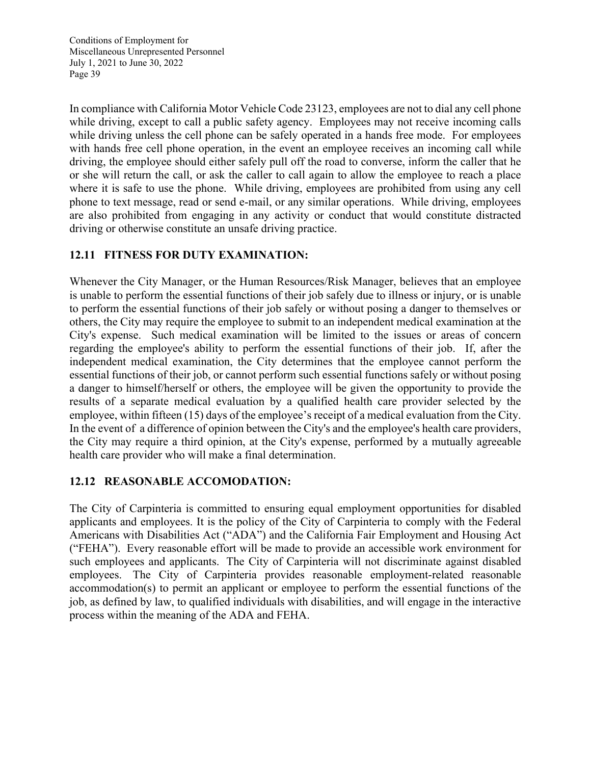In compliance with California Motor Vehicle Code 23123, employees are not to dial any cell phone while driving, except to call a public safety agency. Employees may not receive incoming calls while driving unless the cell phone can be safely operated in a hands free mode. For employees with hands free cell phone operation, in the event an employee receives an incoming call while driving, the employee should either safely pull off the road to converse, inform the caller that he or she will return the call, or ask the caller to call again to allow the employee to reach a place where it is safe to use the phone. While driving, employees are prohibited from using any cell phone to text message, read or send e-mail, or any similar operations. While driving, employees are also prohibited from engaging in any activity or conduct that would constitute distracted driving or otherwise constitute an unsafe driving practice.

# **12.11 FITNESS FOR DUTY EXAMINATION:**

Whenever the City Manager, or the Human Resources/Risk Manager, believes that an employee is unable to perform the essential functions of their job safely due to illness or injury, or is unable to perform the essential functions of their job safely or without posing a danger to themselves or others, the City may require the employee to submit to an independent medical examination at the City's expense. Such medical examination will be limited to the issues or areas of concern regarding the employee's ability to perform the essential functions of their job. If, after the independent medical examination, the City determines that the employee cannot perform the essential functions of their job, or cannot perform such essential functions safely or without posing a danger to himself/herself or others, the employee will be given the opportunity to provide the results of a separate medical evaluation by a qualified health care provider selected by the employee, within fifteen (15) days of the employee's receipt of a medical evaluation from the City. In the event of a difference of opinion between the City's and the employee's health care providers, the City may require a third opinion, at the City's expense, performed by a mutually agreeable health care provider who will make a final determination.

### **12.12 REASONABLE ACCOMODATION:**

The City of Carpinteria is committed to ensuring equal employment opportunities for disabled applicants and employees. It is the policy of the City of Carpinteria to comply with the Federal Americans with Disabilities Act ("ADA") and the California Fair Employment and Housing Act ("FEHA"). Every reasonable effort will be made to provide an accessible work environment for such employees and applicants. The City of Carpinteria will not discriminate against disabled employees. The City of Carpinteria provides reasonable employment-related reasonable accommodation(s) to permit an applicant or employee to perform the essential functions of the job, as defined by law, to qualified individuals with disabilities, and will engage in the interactive process within the meaning of the ADA and FEHA.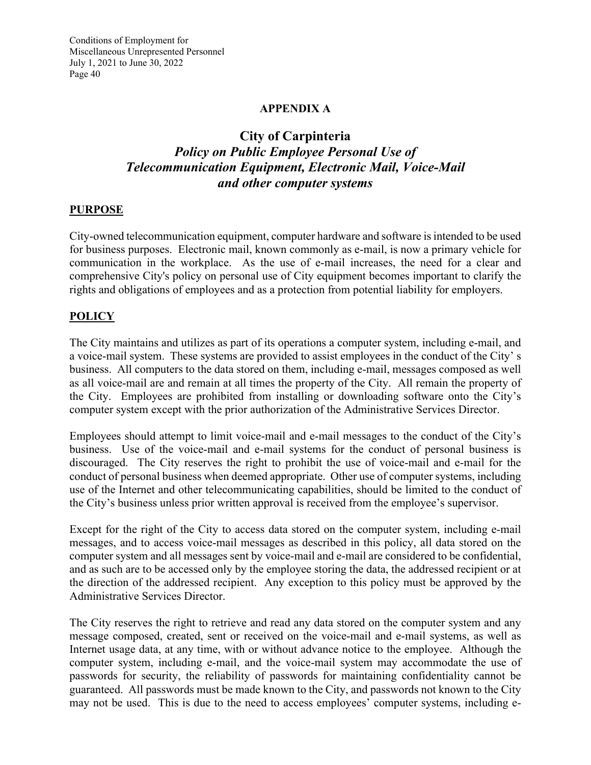### **APPENDIX A**

# **City of Carpinteria**  *Policy on Public Employee Personal Use of Telecommunication Equipment, Electronic Mail, Voice-Mail and other computer systems*

#### **PURPOSE**

City-owned telecommunication equipment, computer hardware and software is intended to be used for business purposes. Electronic mail, known commonly as e-mail, is now a primary vehicle for communication in the workplace. As the use of e-mail increases, the need for a clear and comprehensive City's policy on personal use of City equipment becomes important to clarify the rights and obligations of employees and as a protection from potential liability for employers.

#### **POLICY**

The City maintains and utilizes as part of its operations a computer system, including e-mail, and a voice-mail system. These systems are provided to assist employees in the conduct of the City' s business. All computers to the data stored on them, including e-mail, messages composed as well as all voice-mail are and remain at all times the property of the City. All remain the property of the City. Employees are prohibited from installing or downloading software onto the City's computer system except with the prior authorization of the Administrative Services Director.

Employees should attempt to limit voice-mail and e-mail messages to the conduct of the City's business. Use of the voice-mail and e-mail systems for the conduct of personal business is discouraged. The City reserves the right to prohibit the use of voice-mail and e-mail for the conduct of personal business when deemed appropriate. Other use of computer systems, including use of the Internet and other telecommunicating capabilities, should be limited to the conduct of the City's business unless prior written approval is received from the employee's supervisor.

Except for the right of the City to access data stored on the computer system, including e-mail messages, and to access voice-mail messages as described in this policy, all data stored on the computer system and all messages sent by voice-mail and e-mail are considered to be confidential, and as such are to be accessed only by the employee storing the data, the addressed recipient or at the direction of the addressed recipient. Any exception to this policy must be approved by the Administrative Services Director.

The City reserves the right to retrieve and read any data stored on the computer system and any message composed, created, sent or received on the voice-mail and e-mail systems, as well as Internet usage data, at any time, with or without advance notice to the employee. Although the computer system, including e-mail, and the voice-mail system may accommodate the use of passwords for security, the reliability of passwords for maintaining confidentiality cannot be guaranteed. All passwords must be made known to the City, and passwords not known to the City may not be used. This is due to the need to access employees' computer systems, including e-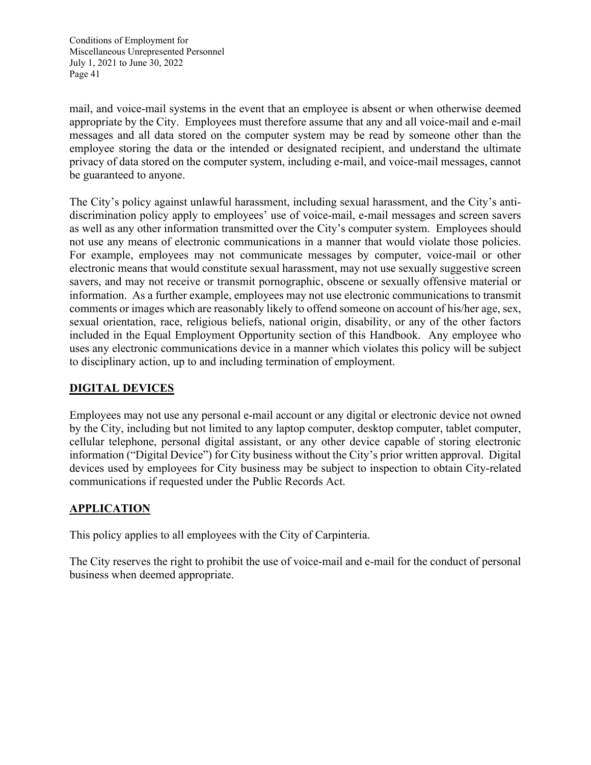mail, and voice-mail systems in the event that an employee is absent or when otherwise deemed appropriate by the City. Employees must therefore assume that any and all voice-mail and e-mail messages and all data stored on the computer system may be read by someone other than the employee storing the data or the intended or designated recipient, and understand the ultimate privacy of data stored on the computer system, including e-mail, and voice-mail messages, cannot be guaranteed to anyone.

The City's policy against unlawful harassment, including sexual harassment, and the City's antidiscrimination policy apply to employees' use of voice-mail, e-mail messages and screen savers as well as any other information transmitted over the City's computer system. Employees should not use any means of electronic communications in a manner that would violate those policies. For example, employees may not communicate messages by computer, voice-mail or other electronic means that would constitute sexual harassment, may not use sexually suggestive screen savers, and may not receive or transmit pornographic, obscene or sexually offensive material or information. As a further example, employees may not use electronic communications to transmit comments or images which are reasonably likely to offend someone on account of his/her age, sex, sexual orientation, race, religious beliefs, national origin, disability, or any of the other factors included in the Equal Employment Opportunity section of this Handbook. Any employee who uses any electronic communications device in a manner which violates this policy will be subject to disciplinary action, up to and including termination of employment.

# **DIGITAL DEVICES**

Employees may not use any personal e-mail account or any digital or electronic device not owned by the City, including but not limited to any laptop computer, desktop computer, tablet computer, cellular telephone, personal digital assistant, or any other device capable of storing electronic information ("Digital Device") for City business without the City's prior written approval. Digital devices used by employees for City business may be subject to inspection to obtain City-related communications if requested under the Public Records Act.

### **APPLICATION**

This policy applies to all employees with the City of Carpinteria.

The City reserves the right to prohibit the use of voice-mail and e-mail for the conduct of personal business when deemed appropriate.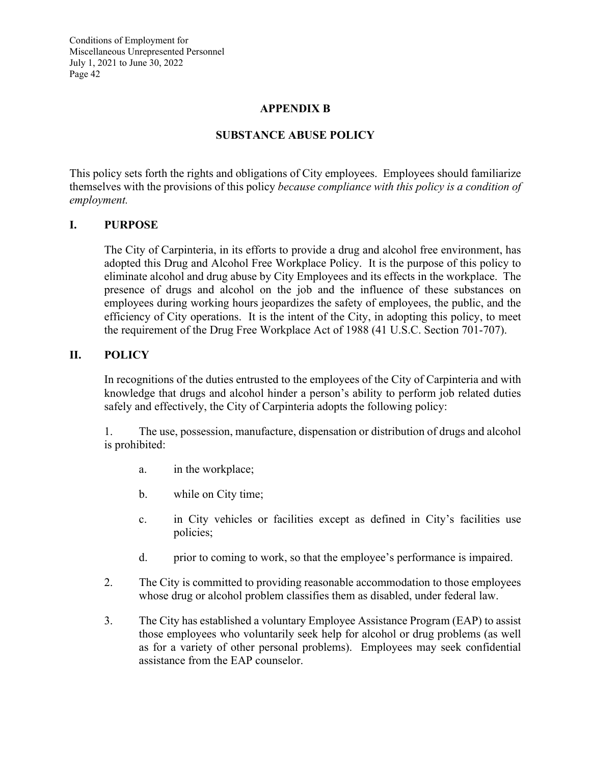### **APPENDIX B**

### **SUBSTANCE ABUSE POLICY**

This policy sets forth the rights and obligations of City employees. Employees should familiarize themselves with the provisions of this policy *because compliance with this policy is a condition of employment.* 

#### **I. PURPOSE**

The City of Carpinteria, in its efforts to provide a drug and alcohol free environment, has adopted this Drug and Alcohol Free Workplace Policy. It is the purpose of this policy to eliminate alcohol and drug abuse by City Employees and its effects in the workplace. The presence of drugs and alcohol on the job and the influence of these substances on employees during working hours jeopardizes the safety of employees, the public, and the efficiency of City operations. It is the intent of the City, in adopting this policy, to meet the requirement of the Drug Free Workplace Act of 1988 (41 U.S.C. Section 701-707).

#### **II. POLICY**

In recognitions of the duties entrusted to the employees of the City of Carpinteria and with knowledge that drugs and alcohol hinder a person's ability to perform job related duties safely and effectively, the City of Carpinteria adopts the following policy:

1. The use, possession, manufacture, dispensation or distribution of drugs and alcohol is prohibited:

- a. in the workplace;
- b. while on City time;
- c. in City vehicles or facilities except as defined in City's facilities use policies;
- d. prior to coming to work, so that the employee's performance is impaired.
- 2. The City is committed to providing reasonable accommodation to those employees whose drug or alcohol problem classifies them as disabled, under federal law.
- 3. The City has established a voluntary Employee Assistance Program (EAP) to assist those employees who voluntarily seek help for alcohol or drug problems (as well as for a variety of other personal problems). Employees may seek confidential assistance from the EAP counselor.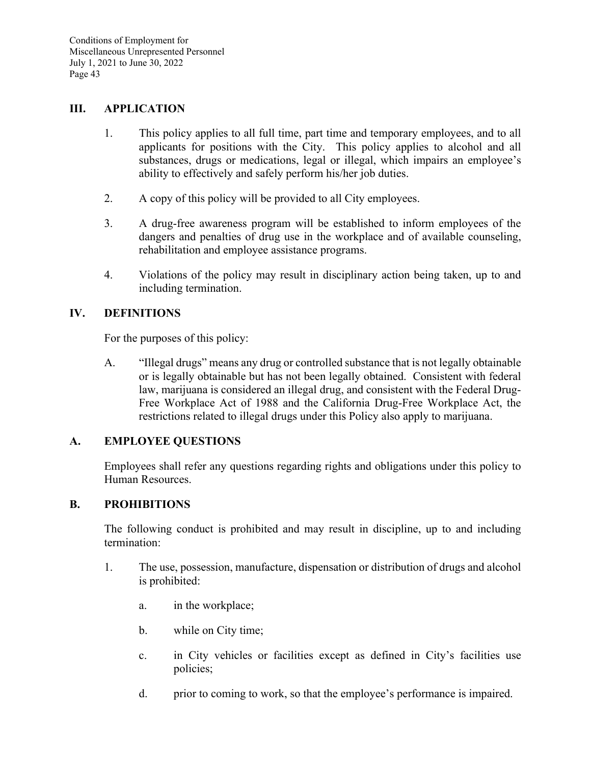#### **III. APPLICATION**

- 1. This policy applies to all full time, part time and temporary employees, and to all applicants for positions with the City. This policy applies to alcohol and all substances, drugs or medications, legal or illegal, which impairs an employee's ability to effectively and safely perform his/her job duties.
- 2. A copy of this policy will be provided to all City employees.
- 3. A drug-free awareness program will be established to inform employees of the dangers and penalties of drug use in the workplace and of available counseling, rehabilitation and employee assistance programs.
- 4. Violations of the policy may result in disciplinary action being taken, up to and including termination.

#### **IV. DEFINITIONS**

For the purposes of this policy:

A. "Illegal drugs" means any drug or controlled substance that is not legally obtainable or is legally obtainable but has not been legally obtained. Consistent with federal law, marijuana is considered an illegal drug, and consistent with the Federal Drug-Free Workplace Act of 1988 and the California Drug-Free Workplace Act, the restrictions related to illegal drugs under this Policy also apply to marijuana.

#### **A. EMPLOYEE QUESTIONS**

Employees shall refer any questions regarding rights and obligations under this policy to Human Resources.

#### **B. PROHIBITIONS**

The following conduct is prohibited and may result in discipline, up to and including termination:

- 1. The use, possession, manufacture, dispensation or distribution of drugs and alcohol is prohibited:
	- a. in the workplace;
	- b. while on City time;
	- c. in City vehicles or facilities except as defined in City's facilities use policies;
	- d. prior to coming to work, so that the employee's performance is impaired.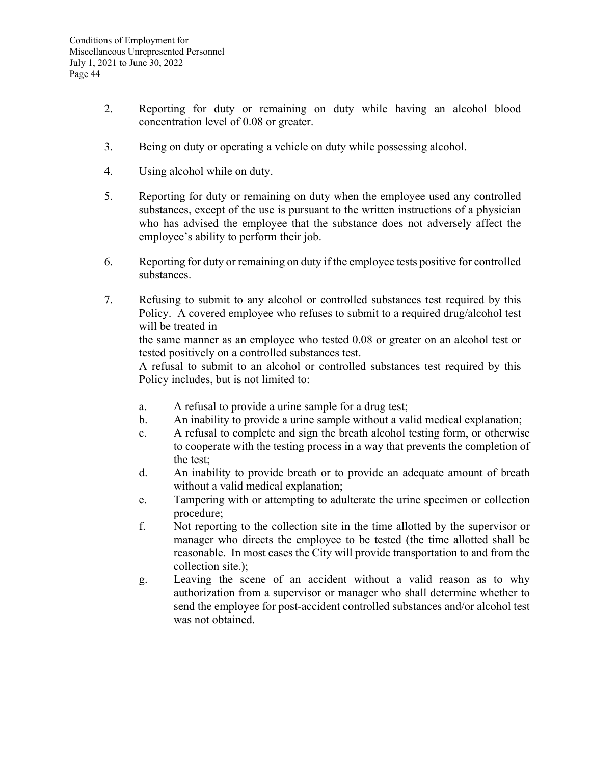- 2. Reporting for duty or remaining on duty while having an alcohol blood concentration level of 0.08 or greater.
- 3. Being on duty or operating a vehicle on duty while possessing alcohol.
- 4. Using alcohol while on duty.
- 5. Reporting for duty or remaining on duty when the employee used any controlled substances, except of the use is pursuant to the written instructions of a physician who has advised the employee that the substance does not adversely affect the employee's ability to perform their job.
- 6. Reporting for duty or remaining on duty if the employee tests positive for controlled substances.
- 7. Refusing to submit to any alcohol or controlled substances test required by this Policy. A covered employee who refuses to submit to a required drug/alcohol test will be treated in

the same manner as an employee who tested 0.08 or greater on an alcohol test or tested positively on a controlled substances test.

A refusal to submit to an alcohol or controlled substances test required by this Policy includes, but is not limited to:

- a. A refusal to provide a urine sample for a drug test;
- b. An inability to provide a urine sample without a valid medical explanation;
- c. A refusal to complete and sign the breath alcohol testing form, or otherwise to cooperate with the testing process in a way that prevents the completion of the test;
- d. An inability to provide breath or to provide an adequate amount of breath without a valid medical explanation;
- e. Tampering with or attempting to adulterate the urine specimen or collection procedure;
- f. Not reporting to the collection site in the time allotted by the supervisor or manager who directs the employee to be tested (the time allotted shall be reasonable. In most cases the City will provide transportation to and from the collection site.);
- g. Leaving the scene of an accident without a valid reason as to why authorization from a supervisor or manager who shall determine whether to send the employee for post-accident controlled substances and/or alcohol test was not obtained.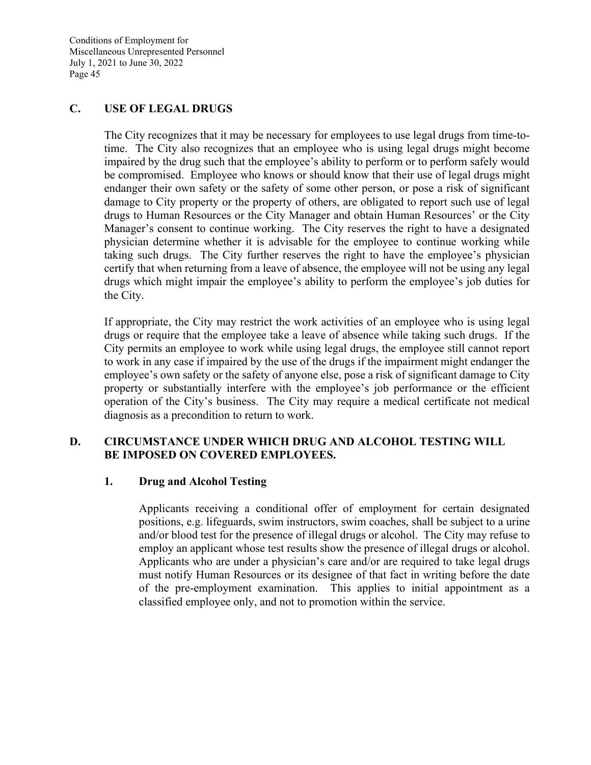### **C. USE OF LEGAL DRUGS**

The City recognizes that it may be necessary for employees to use legal drugs from time-totime. The City also recognizes that an employee who is using legal drugs might become impaired by the drug such that the employee's ability to perform or to perform safely would be compromised. Employee who knows or should know that their use of legal drugs might endanger their own safety or the safety of some other person, or pose a risk of significant damage to City property or the property of others, are obligated to report such use of legal drugs to Human Resources or the City Manager and obtain Human Resources' or the City Manager's consent to continue working. The City reserves the right to have a designated physician determine whether it is advisable for the employee to continue working while taking such drugs. The City further reserves the right to have the employee's physician certify that when returning from a leave of absence, the employee will not be using any legal drugs which might impair the employee's ability to perform the employee's job duties for the City.

If appropriate, the City may restrict the work activities of an employee who is using legal drugs or require that the employee take a leave of absence while taking such drugs. If the City permits an employee to work while using legal drugs, the employee still cannot report to work in any case if impaired by the use of the drugs if the impairment might endanger the employee's own safety or the safety of anyone else, pose a risk of significant damage to City property or substantially interfere with the employee's job performance or the efficient operation of the City's business. The City may require a medical certificate not medical diagnosis as a precondition to return to work.

### **D. CIRCUMSTANCE UNDER WHICH DRUG AND ALCOHOL TESTING WILL BE IMPOSED ON COVERED EMPLOYEES.**

#### **1. Drug and Alcohol Testing**

Applicants receiving a conditional offer of employment for certain designated positions, e.g. lifeguards, swim instructors, swim coaches, shall be subject to a urine and/or blood test for the presence of illegal drugs or alcohol. The City may refuse to employ an applicant whose test results show the presence of illegal drugs or alcohol. Applicants who are under a physician's care and/or are required to take legal drugs must notify Human Resources or its designee of that fact in writing before the date of the pre-employment examination. This applies to initial appointment as a classified employee only, and not to promotion within the service.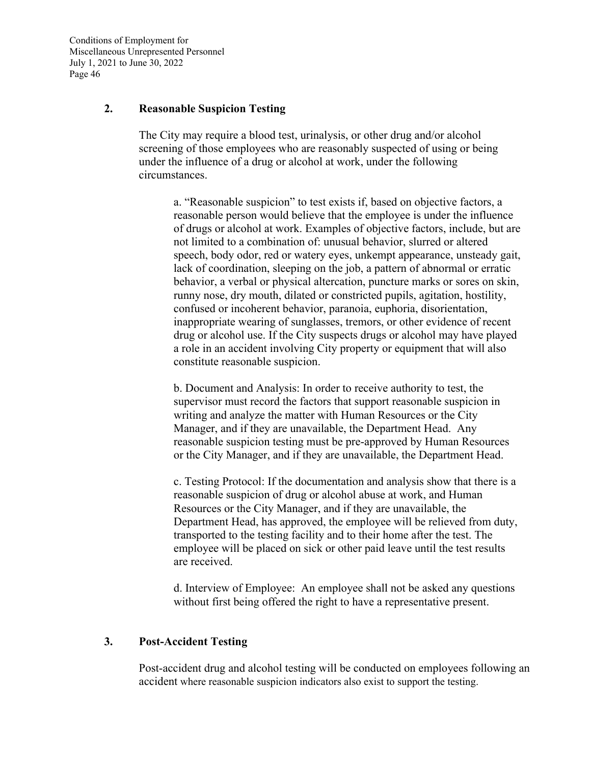#### **2. Reasonable Suspicion Testing**

The City may require a blood test, urinalysis, or other drug and/or alcohol screening of those employees who are reasonably suspected of using or being under the influence of a drug or alcohol at work, under the following circumstances.

a. "Reasonable suspicion" to test exists if, based on objective factors, a reasonable person would believe that the employee is under the influence of drugs or alcohol at work. Examples of objective factors, include, but are not limited to a combination of: unusual behavior, slurred or altered speech, body odor, red or watery eyes, unkempt appearance, unsteady gait, lack of coordination, sleeping on the job, a pattern of abnormal or erratic behavior, a verbal or physical altercation, puncture marks or sores on skin, runny nose, dry mouth, dilated or constricted pupils, agitation, hostility, confused or incoherent behavior, paranoia, euphoria, disorientation, inappropriate wearing of sunglasses, tremors, or other evidence of recent drug or alcohol use. If the City suspects drugs or alcohol may have played a role in an accident involving City property or equipment that will also constitute reasonable suspicion.

b. Document and Analysis: In order to receive authority to test, the supervisor must record the factors that support reasonable suspicion in writing and analyze the matter with Human Resources or the City Manager, and if they are unavailable, the Department Head. Any reasonable suspicion testing must be pre-approved by Human Resources or the City Manager, and if they are unavailable, the Department Head.

c. Testing Protocol: If the documentation and analysis show that there is a reasonable suspicion of drug or alcohol abuse at work, and Human Resources or the City Manager, and if they are unavailable, the Department Head, has approved, the employee will be relieved from duty, transported to the testing facility and to their home after the test. The employee will be placed on sick or other paid leave until the test results are received.

d. Interview of Employee: An employee shall not be asked any questions without first being offered the right to have a representative present.

#### **3. Post-Accident Testing**

Post-accident drug and alcohol testing will be conducted on employees following an accident where reasonable suspicion indicators also exist to support the testing.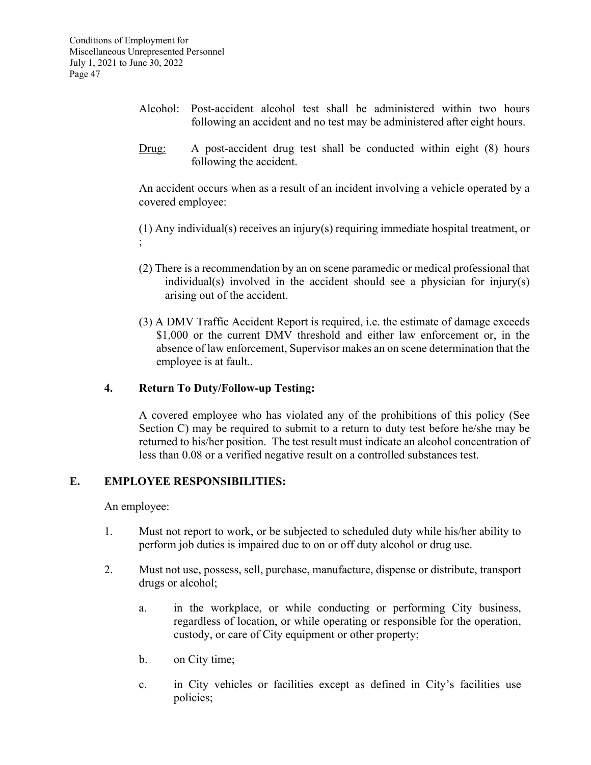- Alcohol: Post-accident alcohol test shall be administered within two hours following an accident and no test may be administered after eight hours.
- Drug: A post-accident drug test shall be conducted within eight (8) hours following the accident.

 An accident occurs when as a result of an incident involving a vehicle operated by a covered employee:

 (1) Any individual(s) receives an injury(s) requiring immediate hospital treatment, or ;

- (2) There is a recommendation by an on scene paramedic or medical professional that individual(s) involved in the accident should see a physician for injury(s) arising out of the accident.
- (3) A DMV Traffic Accident Report is required, i.e. the estimate of damage exceeds \$1,000 or the current DMV threshold and either law enforcement or, in the absence of law enforcement, Supervisor makes an on scene determination that the employee is at fault..

### **4. Return To Duty/Follow-up Testing:**

A covered employee who has violated any of the prohibitions of this policy (See Section C) may be required to submit to a return to duty test before he/she may be returned to his/her position. The test result must indicate an alcohol concentration of less than 0.08 or a verified negative result on a controlled substances test.

### **E. EMPLOYEE RESPONSIBILITIES:**

An employee:

- 1. Must not report to work, or be subjected to scheduled duty while his/her ability to perform job duties is impaired due to on or off duty alcohol or drug use.
- 2. Must not use, possess, sell, purchase, manufacture, dispense or distribute, transport drugs or alcohol;
	- a. in the workplace, or while conducting or performing City business, regardless of location, or while operating or responsible for the operation, custody, or care of City equipment or other property;
	- b. on City time;
	- c. in City vehicles or facilities except as defined in City's facilities use policies;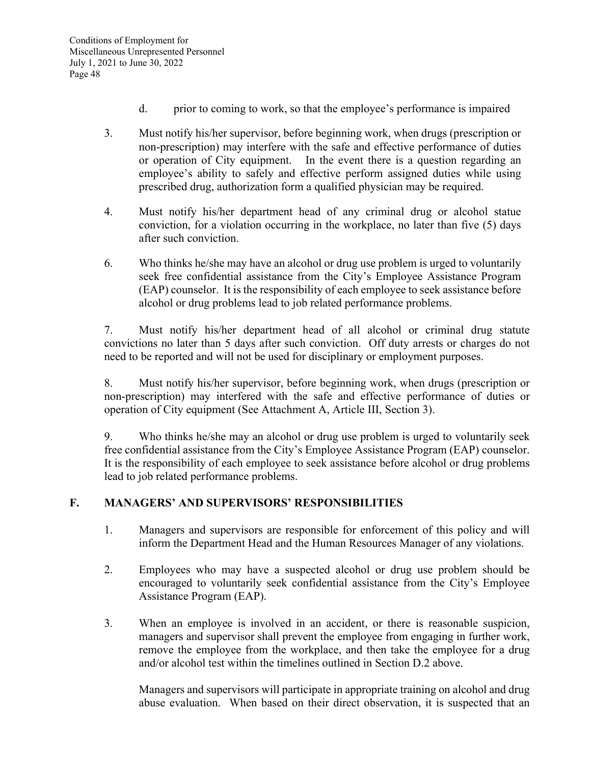- d. prior to coming to work, so that the employee's performance is impaired
- 3. Must notify his/her supervisor, before beginning work, when drugs (prescription or non-prescription) may interfere with the safe and effective performance of duties or operation of City equipment. In the event there is a question regarding an employee's ability to safely and effective perform assigned duties while using prescribed drug, authorization form a qualified physician may be required.
- 4. Must notify his/her department head of any criminal drug or alcohol statue conviction, for a violation occurring in the workplace, no later than five (5) days after such conviction.
- 6. Who thinks he/she may have an alcohol or drug use problem is urged to voluntarily seek free confidential assistance from the City's Employee Assistance Program (EAP) counselor. It is the responsibility of each employee to seek assistance before alcohol or drug problems lead to job related performance problems.

7. Must notify his/her department head of all alcohol or criminal drug statute convictions no later than 5 days after such conviction. Off duty arrests or charges do not need to be reported and will not be used for disciplinary or employment purposes.

8. Must notify his/her supervisor, before beginning work, when drugs (prescription or non-prescription) may interfered with the safe and effective performance of duties or operation of City equipment (See Attachment A, Article III, Section 3).

9. Who thinks he/she may an alcohol or drug use problem is urged to voluntarily seek free confidential assistance from the City's Employee Assistance Program (EAP) counselor. It is the responsibility of each employee to seek assistance before alcohol or drug problems lead to job related performance problems.

### **F. MANAGERS' AND SUPERVISORS' RESPONSIBILITIES**

- 1. Managers and supervisors are responsible for enforcement of this policy and will inform the Department Head and the Human Resources Manager of any violations.
- 2. Employees who may have a suspected alcohol or drug use problem should be encouraged to voluntarily seek confidential assistance from the City's Employee Assistance Program (EAP).
- 3. When an employee is involved in an accident, or there is reasonable suspicion, managers and supervisor shall prevent the employee from engaging in further work, remove the employee from the workplace, and then take the employee for a drug and/or alcohol test within the timelines outlined in Section D.2 above.

 Managers and supervisors will participate in appropriate training on alcohol and drug abuse evaluation. When based on their direct observation, it is suspected that an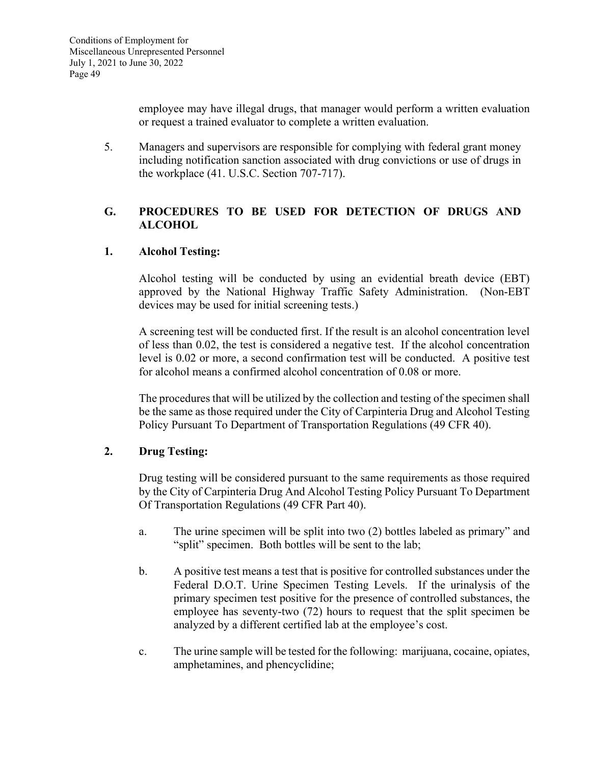employee may have illegal drugs, that manager would perform a written evaluation or request a trained evaluator to complete a written evaluation.

5. Managers and supervisors are responsible for complying with federal grant money including notification sanction associated with drug convictions or use of drugs in the workplace (41. U.S.C. Section 707-717).

# **G. PROCEDURES TO BE USED FOR DETECTION OF DRUGS AND ALCOHOL**

# **1. Alcohol Testing:**

Alcohol testing will be conducted by using an evidential breath device (EBT) approved by the National Highway Traffic Safety Administration. (Non-EBT devices may be used for initial screening tests.)

A screening test will be conducted first. If the result is an alcohol concentration level of less than 0.02, the test is considered a negative test. If the alcohol concentration level is 0.02 or more, a second confirmation test will be conducted. A positive test for alcohol means a confirmed alcohol concentration of 0.08 or more.

The procedures that will be utilized by the collection and testing of the specimen shall be the same as those required under the City of Carpinteria Drug and Alcohol Testing Policy Pursuant To Department of Transportation Regulations (49 CFR 40).

### **2. Drug Testing:**

Drug testing will be considered pursuant to the same requirements as those required by the City of Carpinteria Drug And Alcohol Testing Policy Pursuant To Department Of Transportation Regulations (49 CFR Part 40).

- a. The urine specimen will be split into two (2) bottles labeled as primary" and "split" specimen. Both bottles will be sent to the lab;
- b. A positive test means a test that is positive for controlled substances under the Federal D.O.T. Urine Specimen Testing Levels. If the urinalysis of the primary specimen test positive for the presence of controlled substances, the employee has seventy-two (72) hours to request that the split specimen be analyzed by a different certified lab at the employee's cost.
- c. The urine sample will be tested for the following: marijuana, cocaine, opiates, amphetamines, and phencyclidine;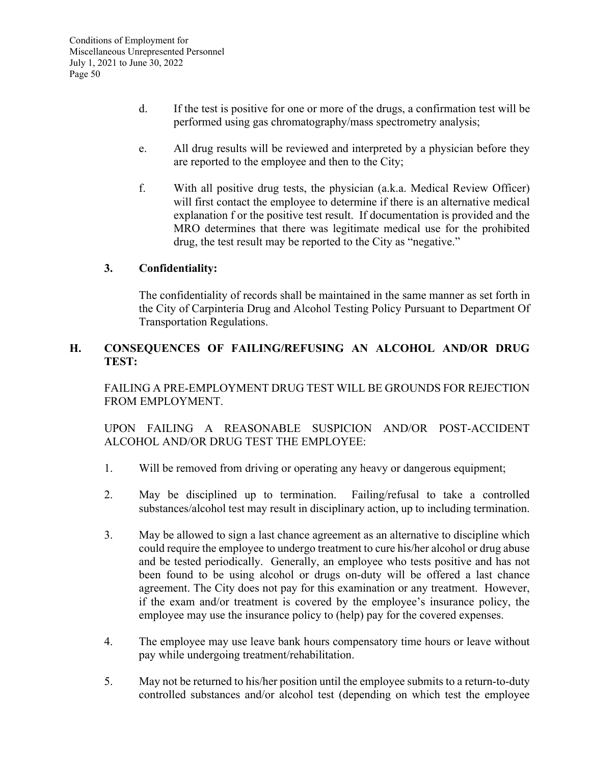- d. If the test is positive for one or more of the drugs, a confirmation test will be performed using gas chromatography/mass spectrometry analysis;
- e. All drug results will be reviewed and interpreted by a physician before they are reported to the employee and then to the City;
- f. With all positive drug tests, the physician (a.k.a. Medical Review Officer) will first contact the employee to determine if there is an alternative medical explanation f or the positive test result. If documentation is provided and the MRO determines that there was legitimate medical use for the prohibited drug, the test result may be reported to the City as "negative."

### **3. Confidentiality:**

The confidentiality of records shall be maintained in the same manner as set forth in the City of Carpinteria Drug and Alcohol Testing Policy Pursuant to Department Of Transportation Regulations.

### **H. CONSEQUENCES OF FAILING/REFUSING AN ALCOHOL AND/OR DRUG TEST:**

FAILING A PRE-EMPLOYMENT DRUG TEST WILL BE GROUNDS FOR REJECTION FROM EMPLOYMENT.

 UPON FAILING A REASONABLE SUSPICION AND/OR POST-ACCIDENT ALCOHOL AND/OR DRUG TEST THE EMPLOYEE:

- 1. Will be removed from driving or operating any heavy or dangerous equipment;
- 2. May be disciplined up to termination. Failing/refusal to take a controlled substances/alcohol test may result in disciplinary action, up to including termination.
- 3. May be allowed to sign a last chance agreement as an alternative to discipline which could require the employee to undergo treatment to cure his/her alcohol or drug abuse and be tested periodically. Generally, an employee who tests positive and has not been found to be using alcohol or drugs on-duty will be offered a last chance agreement. The City does not pay for this examination or any treatment. However, if the exam and/or treatment is covered by the employee's insurance policy, the employee may use the insurance policy to (help) pay for the covered expenses.
- 4. The employee may use leave bank hours compensatory time hours or leave without pay while undergoing treatment/rehabilitation.
- 5. May not be returned to his/her position until the employee submits to a return-to-duty controlled substances and/or alcohol test (depending on which test the employee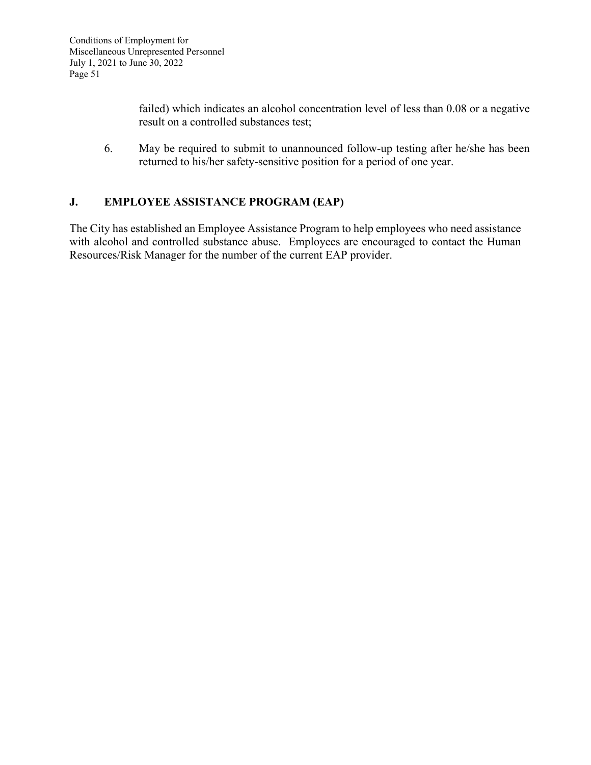failed) which indicates an alcohol concentration level of less than 0.08 or a negative result on a controlled substances test;

6. May be required to submit to unannounced follow-up testing after he/she has been returned to his/her safety-sensitive position for a period of one year.

# **J. EMPLOYEE ASSISTANCE PROGRAM (EAP)**

The City has established an Employee Assistance Program to help employees who need assistance with alcohol and controlled substance abuse. Employees are encouraged to contact the Human Resources/Risk Manager for the number of the current EAP provider.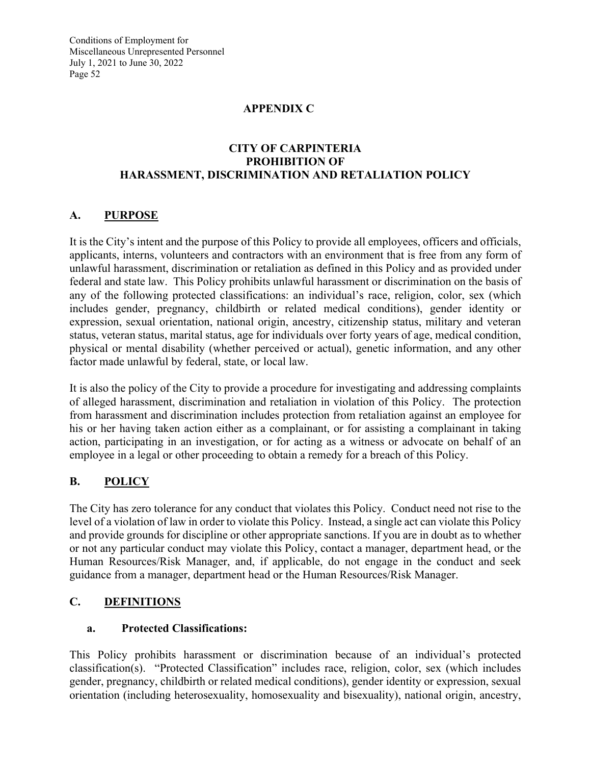### **APPENDIX C**

### **CITY OF CARPINTERIA PROHIBITION OF HARASSMENT, DISCRIMINATION AND RETALIATION POLICY**

# **A. PURPOSE**

It is the City's intent and the purpose of this Policy to provide all employees, officers and officials, applicants, interns, volunteers and contractors with an environment that is free from any form of unlawful harassment, discrimination or retaliation as defined in this Policy and as provided under federal and state law. This Policy prohibits unlawful harassment or discrimination on the basis of any of the following protected classifications: an individual's race, religion, color, sex (which includes gender, pregnancy, childbirth or related medical conditions), gender identity or expression, sexual orientation, national origin, ancestry, citizenship status, military and veteran status, veteran status, marital status, age for individuals over forty years of age, medical condition, physical or mental disability (whether perceived or actual), genetic information, and any other factor made unlawful by federal, state, or local law.

It is also the policy of the City to provide a procedure for investigating and addressing complaints of alleged harassment, discrimination and retaliation in violation of this Policy. The protection from harassment and discrimination includes protection from retaliation against an employee for his or her having taken action either as a complainant, or for assisting a complainant in taking action, participating in an investigation, or for acting as a witness or advocate on behalf of an employee in a legal or other proceeding to obtain a remedy for a breach of this Policy.

# **B. POLICY**

The City has zero tolerance for any conduct that violates this Policy. Conduct need not rise to the level of a violation of law in order to violate this Policy. Instead, a single act can violate this Policy and provide grounds for discipline or other appropriate sanctions. If you are in doubt as to whether or not any particular conduct may violate this Policy, contact a manager, department head, or the Human Resources/Risk Manager, and, if applicable, do not engage in the conduct and seek guidance from a manager, department head or the Human Resources/Risk Manager.

# **C. DEFINITIONS**

### **a. Protected Classifications:**

This Policy prohibits harassment or discrimination because of an individual's protected classification(s). "Protected Classification" includes race, religion, color, sex (which includes gender, pregnancy, childbirth or related medical conditions), gender identity or expression, sexual orientation (including heterosexuality, homosexuality and bisexuality), national origin, ancestry,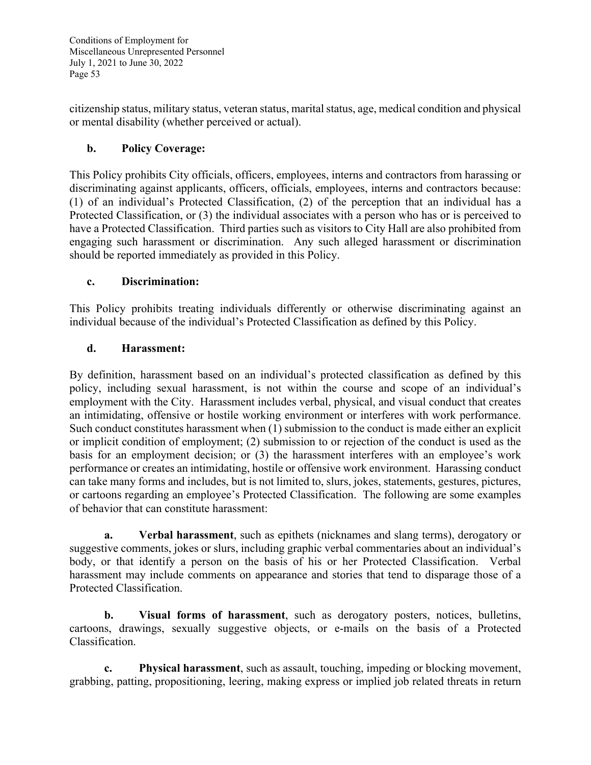citizenship status, military status, veteran status, marital status, age, medical condition and physical or mental disability (whether perceived or actual).

# **b. Policy Coverage:**

This Policy prohibits City officials, officers, employees, interns and contractors from harassing or discriminating against applicants, officers, officials, employees, interns and contractors because: (1) of an individual's Protected Classification, (2) of the perception that an individual has a Protected Classification, or (3) the individual associates with a person who has or is perceived to have a Protected Classification. Third parties such as visitors to City Hall are also prohibited from engaging such harassment or discrimination. Any such alleged harassment or discrimination should be reported immediately as provided in this Policy.

### **c. Discrimination:**

This Policy prohibits treating individuals differently or otherwise discriminating against an individual because of the individual's Protected Classification as defined by this Policy.

# **d. Harassment:**

By definition, harassment based on an individual's protected classification as defined by this policy, including sexual harassment, is not within the course and scope of an individual's employment with the City. Harassment includes verbal, physical, and visual conduct that creates an intimidating, offensive or hostile working environment or interferes with work performance. Such conduct constitutes harassment when (1) submission to the conduct is made either an explicit or implicit condition of employment; (2) submission to or rejection of the conduct is used as the basis for an employment decision; or (3) the harassment interferes with an employee's work performance or creates an intimidating, hostile or offensive work environment. Harassing conduct can take many forms and includes, but is not limited to, slurs, jokes, statements, gestures, pictures, or cartoons regarding an employee's Protected Classification. The following are some examples of behavior that can constitute harassment:

**a. Verbal harassment**, such as epithets (nicknames and slang terms), derogatory or suggestive comments, jokes or slurs, including graphic verbal commentaries about an individual's body, or that identify a person on the basis of his or her Protected Classification. Verbal harassment may include comments on appearance and stories that tend to disparage those of a Protected Classification.

**b. Visual forms of harassment**, such as derogatory posters, notices, bulletins, cartoons, drawings, sexually suggestive objects, or e-mails on the basis of a Protected Classification.

**c. Physical harassment**, such as assault, touching, impeding or blocking movement, grabbing, patting, propositioning, leering, making express or implied job related threats in return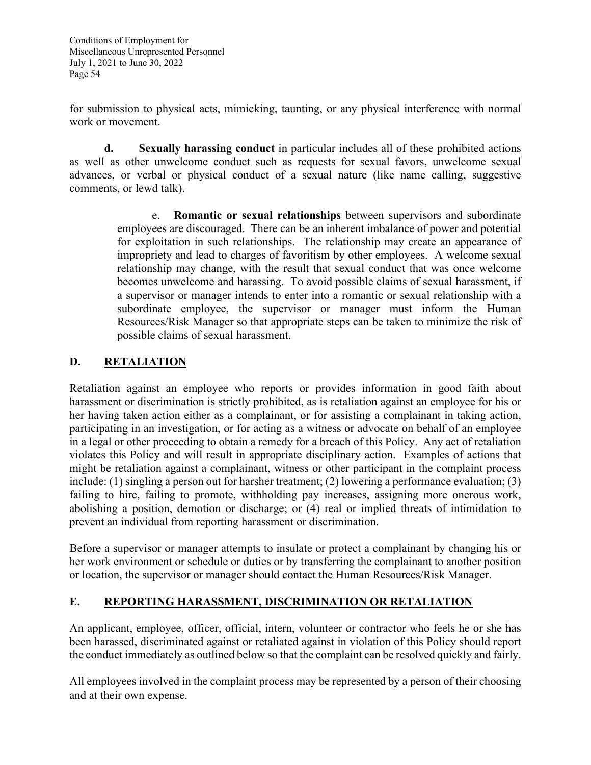for submission to physical acts, mimicking, taunting, or any physical interference with normal work or movement.

**d. Sexually harassing conduct** in particular includes all of these prohibited actions as well as other unwelcome conduct such as requests for sexual favors, unwelcome sexual advances, or verbal or physical conduct of a sexual nature (like name calling, suggestive comments, or lewd talk).

> e. **Romantic or sexual relationships** between supervisors and subordinate employees are discouraged. There can be an inherent imbalance of power and potential for exploitation in such relationships. The relationship may create an appearance of impropriety and lead to charges of favoritism by other employees. A welcome sexual relationship may change, with the result that sexual conduct that was once welcome becomes unwelcome and harassing. To avoid possible claims of sexual harassment, if a supervisor or manager intends to enter into a romantic or sexual relationship with a subordinate employee, the supervisor or manager must inform the Human Resources/Risk Manager so that appropriate steps can be taken to minimize the risk of possible claims of sexual harassment.

# **D. RETALIATION**

Retaliation against an employee who reports or provides information in good faith about harassment or discrimination is strictly prohibited, as is retaliation against an employee for his or her having taken action either as a complainant, or for assisting a complainant in taking action, participating in an investigation, or for acting as a witness or advocate on behalf of an employee in a legal or other proceeding to obtain a remedy for a breach of this Policy. Any act of retaliation violates this Policy and will result in appropriate disciplinary action. Examples of actions that might be retaliation against a complainant, witness or other participant in the complaint process include: (1) singling a person out for harsher treatment; (2) lowering a performance evaluation; (3) failing to hire, failing to promote, withholding pay increases, assigning more onerous work, abolishing a position, demotion or discharge; or (4) real or implied threats of intimidation to prevent an individual from reporting harassment or discrimination.

Before a supervisor or manager attempts to insulate or protect a complainant by changing his or her work environment or schedule or duties or by transferring the complainant to another position or location, the supervisor or manager should contact the Human Resources/Risk Manager.

### **E. REPORTING HARASSMENT, DISCRIMINATION OR RETALIATION**

An applicant, employee, officer, official, intern, volunteer or contractor who feels he or she has been harassed, discriminated against or retaliated against in violation of this Policy should report the conduct immediately as outlined below so that the complaint can be resolved quickly and fairly.

All employees involved in the complaint process may be represented by a person of their choosing and at their own expense.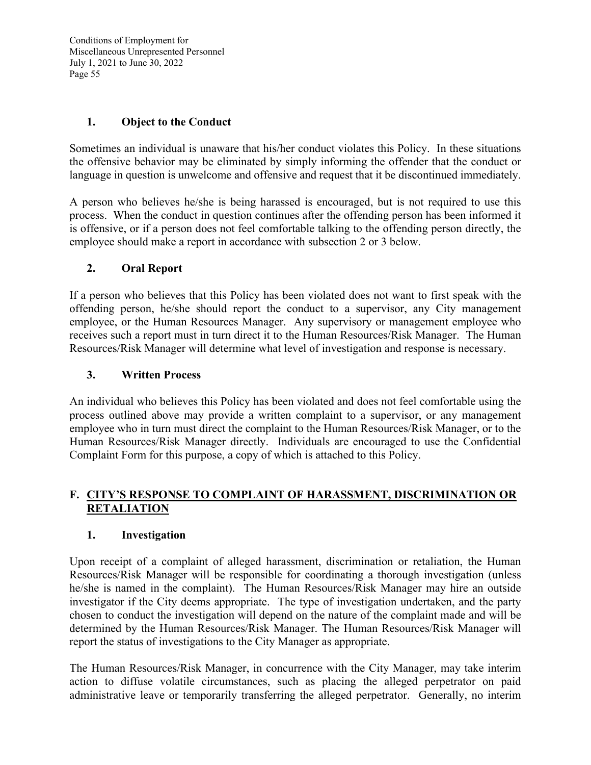### **1. Object to the Conduct**

Sometimes an individual is unaware that his/her conduct violates this Policy. In these situations the offensive behavior may be eliminated by simply informing the offender that the conduct or language in question is unwelcome and offensive and request that it be discontinued immediately.

A person who believes he/she is being harassed is encouraged, but is not required to use this process. When the conduct in question continues after the offending person has been informed it is offensive, or if a person does not feel comfortable talking to the offending person directly, the employee should make a report in accordance with subsection 2 or 3 below.

### **2. Oral Report**

If a person who believes that this Policy has been violated does not want to first speak with the offending person, he/she should report the conduct to a supervisor, any City management employee, or the Human Resources Manager. Any supervisory or management employee who receives such a report must in turn direct it to the Human Resources/Risk Manager. The Human Resources/Risk Manager will determine what level of investigation and response is necessary.

### **3. Written Process**

An individual who believes this Policy has been violated and does not feel comfortable using the process outlined above may provide a written complaint to a supervisor, or any management employee who in turn must direct the complaint to the Human Resources/Risk Manager, or to the Human Resources/Risk Manager directly. Individuals are encouraged to use the Confidential Complaint Form for this purpose, a copy of which is attached to this Policy.

### **F. CITY'S RESPONSE TO COMPLAINT OF HARASSMENT, DISCRIMINATION OR RETALIATION**

#### **1. Investigation**

Upon receipt of a complaint of alleged harassment, discrimination or retaliation, the Human Resources/Risk Manager will be responsible for coordinating a thorough investigation (unless he/she is named in the complaint). The Human Resources/Risk Manager may hire an outside investigator if the City deems appropriate. The type of investigation undertaken, and the party chosen to conduct the investigation will depend on the nature of the complaint made and will be determined by the Human Resources/Risk Manager. The Human Resources/Risk Manager will report the status of investigations to the City Manager as appropriate.

The Human Resources/Risk Manager, in concurrence with the City Manager, may take interim action to diffuse volatile circumstances, such as placing the alleged perpetrator on paid administrative leave or temporarily transferring the alleged perpetrator. Generally, no interim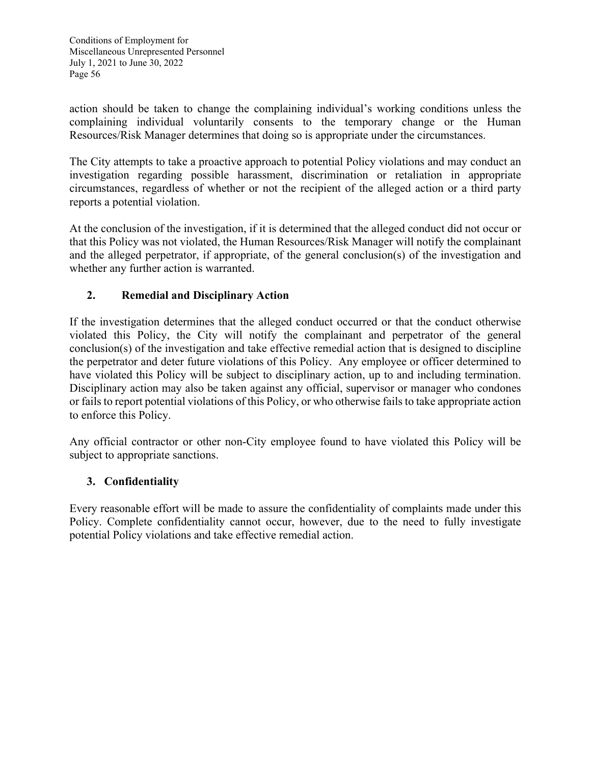action should be taken to change the complaining individual's working conditions unless the complaining individual voluntarily consents to the temporary change or the Human Resources/Risk Manager determines that doing so is appropriate under the circumstances.

The City attempts to take a proactive approach to potential Policy violations and may conduct an investigation regarding possible harassment, discrimination or retaliation in appropriate circumstances, regardless of whether or not the recipient of the alleged action or a third party reports a potential violation.

At the conclusion of the investigation, if it is determined that the alleged conduct did not occur or that this Policy was not violated, the Human Resources/Risk Manager will notify the complainant and the alleged perpetrator, if appropriate, of the general conclusion(s) of the investigation and whether any further action is warranted.

# **2. Remedial and Disciplinary Action**

If the investigation determines that the alleged conduct occurred or that the conduct otherwise violated this Policy, the City will notify the complainant and perpetrator of the general conclusion(s) of the investigation and take effective remedial action that is designed to discipline the perpetrator and deter future violations of this Policy. Any employee or officer determined to have violated this Policy will be subject to disciplinary action, up to and including termination. Disciplinary action may also be taken against any official, supervisor or manager who condones or fails to report potential violations of this Policy, or who otherwise fails to take appropriate action to enforce this Policy.

Any official contractor or other non-City employee found to have violated this Policy will be subject to appropriate sanctions.

# **3. Confidentiality**

Every reasonable effort will be made to assure the confidentiality of complaints made under this Policy. Complete confidentiality cannot occur, however, due to the need to fully investigate potential Policy violations and take effective remedial action.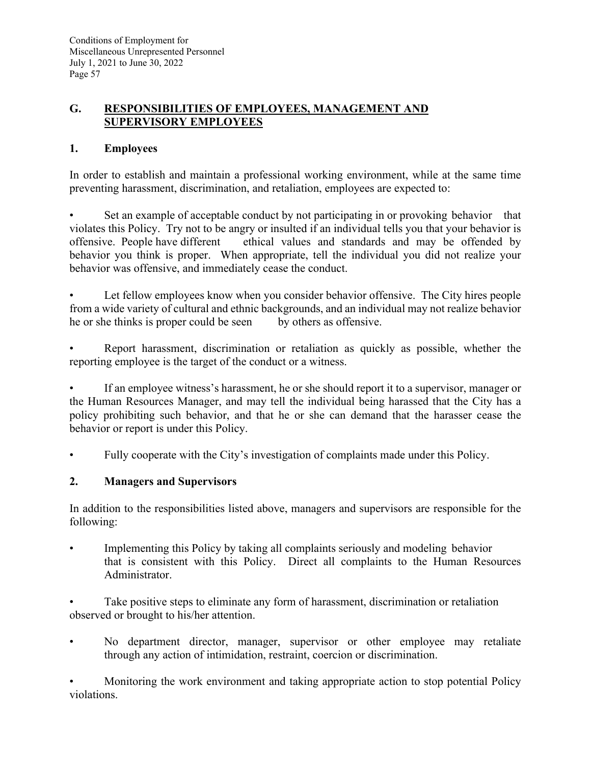# **G. RESPONSIBILITIES OF EMPLOYEES, MANAGEMENT AND SUPERVISORY EMPLOYEES**

# **1. Employees**

In order to establish and maintain a professional working environment, while at the same time preventing harassment, discrimination, and retaliation, employees are expected to:

Set an example of acceptable conduct by not participating in or provoking behavior that violates this Policy. Try not to be angry or insulted if an individual tells you that your behavior is offensive. People have different ethical values and standards and may be offended by behavior you think is proper. When appropriate, tell the individual you did not realize your behavior was offensive, and immediately cease the conduct.

Let fellow employees know when you consider behavior offensive. The City hires people from a wide variety of cultural and ethnic backgrounds, and an individual may not realize behavior he or she thinks is proper could be seen by others as offensive.

Report harassment, discrimination or retaliation as quickly as possible, whether the reporting employee is the target of the conduct or a witness.

• If an employee witness's harassment, he or she should report it to a supervisor, manager or the Human Resources Manager, and may tell the individual being harassed that the City has a policy prohibiting such behavior, and that he or she can demand that the harasser cease the behavior or report is under this Policy.

• Fully cooperate with the City's investigation of complaints made under this Policy.

### **2. Managers and Supervisors**

In addition to the responsibilities listed above, managers and supervisors are responsible for the following:

• Implementing this Policy by taking all complaints seriously and modeling behavior that is consistent with this Policy. Direct all complaints to the Human Resources Administrator.

Take positive steps to eliminate any form of harassment, discrimination or retaliation observed or brought to his/her attention.

No department director, manager, supervisor or other employee may retaliate through any action of intimidation, restraint, coercion or discrimination.

• Monitoring the work environment and taking appropriate action to stop potential Policy violations.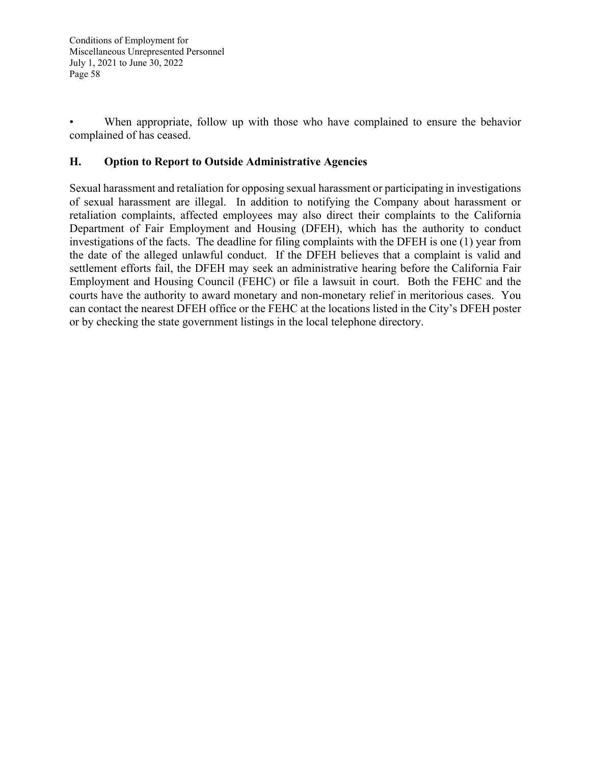When appropriate, follow up with those who have complained to ensure the behavior complained of has ceased.

# **H. Option to Report to Outside Administrative Agencies**

Sexual harassment and retaliation for opposing sexual harassment or participating in investigations of sexual harassment are illegal. In addition to notifying the Company about harassment or retaliation complaints, affected employees may also direct their complaints to the California Department of Fair Employment and Housing (DFEH), which has the authority to conduct investigations of the facts. The deadline for filing complaints with the DFEH is one (1) year from the date of the alleged unlawful conduct. If the DFEH believes that a complaint is valid and settlement efforts fail, the DFEH may seek an administrative hearing before the California Fair Employment and Housing Council (FEHC) or file a lawsuit in court. Both the FEHC and the courts have the authority to award monetary and non-monetary relief in meritorious cases. You can contact the nearest DFEH office or the FEHC at the locations listed in the City's DFEH poster or by checking the state government listings in the local telephone directory.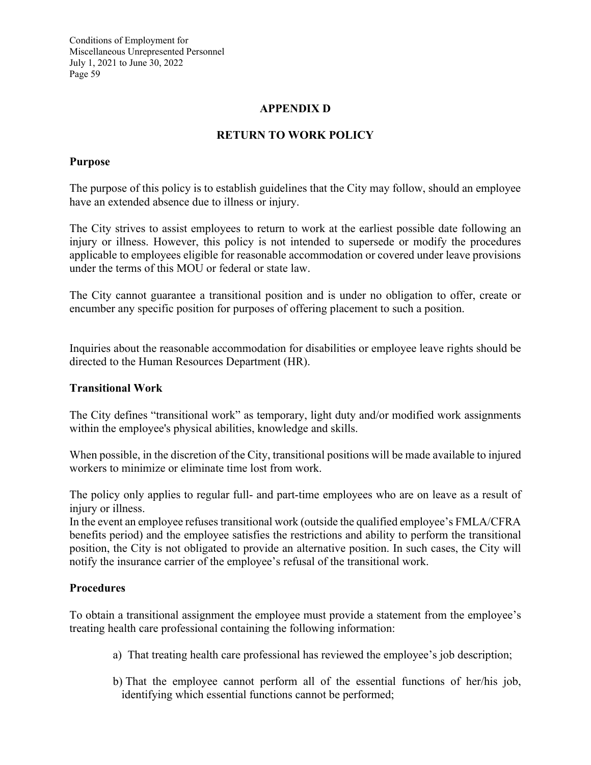### **APPENDIX D**

### **RETURN TO WORK POLICY**

### **Purpose**

The purpose of this policy is to establish guidelines that the City may follow, should an employee have an extended absence due to illness or injury.

The City strives to assist employees to return to work at the earliest possible date following an injury or illness. However, this policy is not intended to supersede or modify the procedures applicable to employees eligible for reasonable accommodation or covered under leave provisions under the terms of this MOU or federal or state law.

The City cannot guarantee a transitional position and is under no obligation to offer, create or encumber any specific position for purposes of offering placement to such a position.

Inquiries about the reasonable accommodation for disabilities or employee leave rights should be directed to the Human Resources Department (HR).

#### **Transitional Work**

The City defines "transitional work" as temporary, light duty and/or modified work assignments within the employee's physical abilities, knowledge and skills.

When possible, in the discretion of the City, transitional positions will be made available to injured workers to minimize or eliminate time lost from work.

The policy only applies to regular full- and part-time employees who are on leave as a result of injury or illness.

In the event an employee refuses transitional work (outside the qualified employee's FMLA/CFRA benefits period) and the employee satisfies the restrictions and ability to perform the transitional position, the City is not obligated to provide an alternative position. In such cases, the City will notify the insurance carrier of the employee's refusal of the transitional work.

#### **Procedures**

To obtain a transitional assignment the employee must provide a statement from the employee's treating health care professional containing the following information:

- a) That treating health care professional has reviewed the employee's job description;
- b) That the employee cannot perform all of the essential functions of her/his job, identifying which essential functions cannot be performed;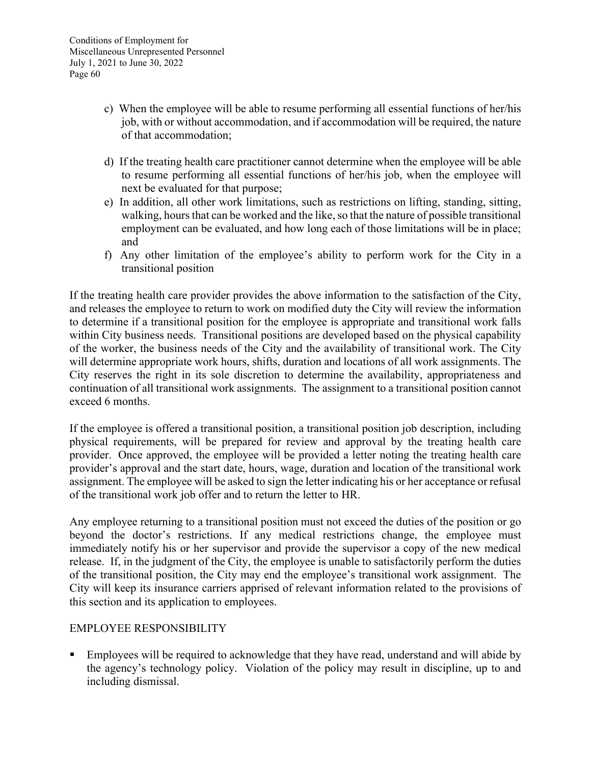- c) When the employee will be able to resume performing all essential functions of her/his job, with or without accommodation, and if accommodation will be required, the nature of that accommodation;
- d) If the treating health care practitioner cannot determine when the employee will be able to resume performing all essential functions of her/his job, when the employee will next be evaluated for that purpose;
- e) In addition, all other work limitations, such as restrictions on lifting, standing, sitting, walking, hours that can be worked and the like, so that the nature of possible transitional employment can be evaluated, and how long each of those limitations will be in place; and
- f) Any other limitation of the employee's ability to perform work for the City in a transitional position

If the treating health care provider provides the above information to the satisfaction of the City, and releases the employee to return to work on modified duty the City will review the information to determine if a transitional position for the employee is appropriate and transitional work falls within City business needs. Transitional positions are developed based on the physical capability of the worker, the business needs of the City and the availability of transitional work. The City will determine appropriate work hours, shifts, duration and locations of all work assignments. The City reserves the right in its sole discretion to determine the availability, appropriateness and continuation of all transitional work assignments. The assignment to a transitional position cannot exceed 6 months.

If the employee is offered a transitional position, a transitional position job description, including physical requirements, will be prepared for review and approval by the treating health care provider. Once approved, the employee will be provided a letter noting the treating health care provider's approval and the start date, hours, wage, duration and location of the transitional work assignment. The employee will be asked to sign the letter indicating his or her acceptance or refusal of the transitional work job offer and to return the letter to HR.

Any employee returning to a transitional position must not exceed the duties of the position or go beyond the doctor's restrictions. If any medical restrictions change, the employee must immediately notify his or her supervisor and provide the supervisor a copy of the new medical release. If, in the judgment of the City, the employee is unable to satisfactorily perform the duties of the transitional position, the City may end the employee's transitional work assignment. The City will keep its insurance carriers apprised of relevant information related to the provisions of this section and its application to employees.

### EMPLOYEE RESPONSIBILITY

**Employees will be required to acknowledge that they have read, understand and will abide by** the agency's technology policy. Violation of the policy may result in discipline, up to and including dismissal.